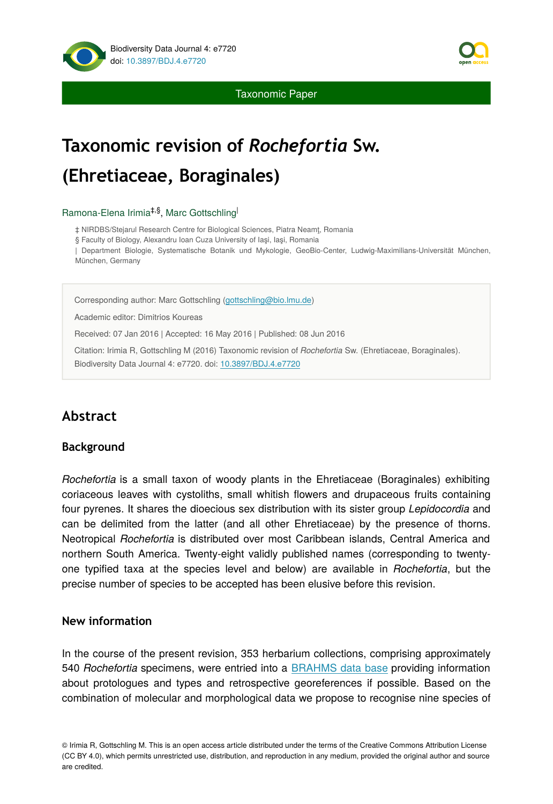



Taxonomic Paper

# **Taxonomic revision of** *Rochefortia* **Sw. (Ehretiaceae, Boraginales)**

#### Ramona-Elena Irimia<sup>‡,§</sup>, Marc Gottschling

‡ NIRDBS/Stejarul Research Centre for Biological Sciences, Piatra Neamţ, Romania

§ Faculty of Biology, Alexandru Ioan Cuza University of Iaşi, Iaşi, Romania

| Department Biologie, Systematische Botanik und Mykologie, GeoBio-Center, Ludwig-Maximilians-Universität München, München, Germany

Corresponding author: Marc Gottschling ([gottschling@bio.lmu.de\)](mailto:gottschling@bio.lmu.de?subject=Your%20manuscript%20in%20PWT%20#4912/Biodiversity%20Data%20Journal%20#7720)

Academic editor: Dimitrios Koureas

Received: 07 Jan 2016 | Accepted: 16 May 2016 | Published: 08 Jun 2016

Citation: Irimia R, Gottschling M (2016) Taxonomic revision of *Rochefortia* Sw. (Ehretiaceae, Boraginales). Biodiversity Data Journal 4: e7720. doi: [10.3897/BDJ.4.e7720](http://dx.doi.org/10.3897/BDJ.4.e7720)

# **Abstract**

### **Background**

*Rochefortia* is a small taxon of woody plants in the Ehretiaceae (Boraginales) exhibiting coriaceous leaves with cystoliths, small whitish flowers and drupaceous fruits containing four pyrenes. It shares the dioecious sex distribution with its sister group *Lepidocordia* and can be delimited from the latter (and all other Ehretiaceae) by the presence of thorns. Neotropical *Rochefortia* is distributed over most Caribbean islands, Central America and northern South America. Twenty-eight validly published names (corresponding to twentyone typified taxa at the species level and below) are available in *Rochefortia*, but the precise number of species to be accepted has been elusive before this revision.

# **New information**

In the course of the present revision, 353 herbarium collections, comprising approximately 540 *Rochefortia* specimens, were entried into a [BRAHMS data base](http://herbaria.plants.ox.ac.uk/bol/rochefortia/Explore) providing information about protologues and types and retrospective georeferences if possible. Based on the combination of molecular and morphological data we propose to recognise nine species of

© Irimia R, Gottschling M. This is an open access article distributed under the terms of the Creative Commons Attribution License (CC BY 4.0), which permits unrestricted use, distribution, and reproduction in any medium, provided the original author and source are credited.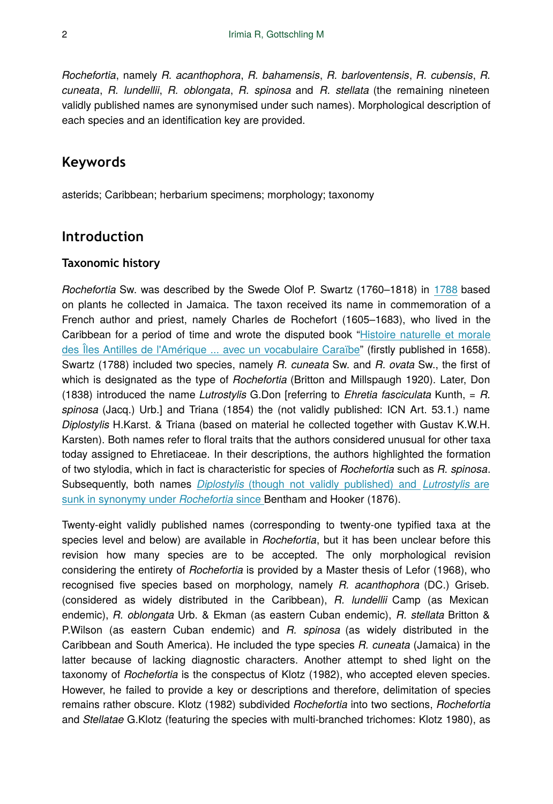*Rochefortia*, namely *R. acanthophora*, *R. bahamensis*, *R. barloventensis*, *R. cubensis*, *R. cuneata*, *R. lundellii*, *R. oblongata*, *R. spinosa* and *R. stellata* (the remaining nineteen validly published names are synonymised under such names). Morphological description of each species and an identification key are provided.

# **Keywords**

asterids; Caribbean; herbarium specimens; morphology; taxonomy

# **Introduction**

# **Taxonomic history**

*Rochefortia* Sw. was described by the Swede Olof P. Swartz (1760–1818) in [1788](http://biodiversitylibrary.org/page/376712#page/61/mode/1up) based on plants he collected in Jamaica. The taxon received its name in commemoration of a French author and priest, namely Charles de Rochefort (1605–1683), who lived in the Caribbean for a period of time and wrote the disputed book "[Histoire naturelle et morale](http://www.biodiversitylibrary.org/item/178203#page/7/mode/1up) [des Îles Antilles de l'Amérique ... avec un vocabulaire Caraïbe"](http://www.biodiversitylibrary.org/item/178203#page/7/mode/1up) (firstly published in 1658). Swartz (1788) included two species, namely *R. cuneata* Sw. and *R. ovata* Sw., the first of which is designated as the type of *Rochefortia* (Britton and Millspaugh 1920). Later, Don (1838) introduced the name *Lutrostylis* G.Don [referring to *Ehretia fasciculata* Kunth, = *R. spinosa* (Jacq.) Urb.] and Triana (1854) the (not validly published: ICN Art. 53.1.) name *Diplostylis* H.Karst. & Triana (based on material he collected together with Gustav K.W.H. Karsten). Both names refer to floral traits that the authors considered unusual for other taxa today assigned to Ehretiaceae. In their descriptions, the authors highlighted the formation of two stylodia, which in fact is characteristic for species of *Rochefortia* such as *R. spinosa*. Subsequently, both names *[Diplostylis](http://www.biodiversitylibrary.org/item/14687#page/316/mode/1up)* [\(though not validly published\) and](http://www.biodiversitylibrary.org/item/14687#page/316/mode/1up) *[Lutrostylis](http://www.biodiversitylibrary.org/item/14687#page/316/mode/1up)* are [sunk in synonymy under](http://www.biodiversitylibrary.org/item/14687#page/316/mode/1up) *[Rochefortia](http://www.biodiversitylibrary.org/item/14687#page/316/mode/1up)* since Bentham and Hooker (1876).

Twenty-eight validly published names (corresponding to twenty-one typified taxa at the species level and below) are available in *Rochefortia*, but it has been unclear before this revision how many species are to be accepted. The only morphological revision considering the entirety of *Rochefortia* is provided by a Master thesis of Lefor (1968), who recognised five species based on morphology, namely *R. acanthophora* (DC.) Griseb. (considered as widely distributed in the Caribbean), *R. lundellii* Camp (as Mexican endemic), *R. oblongata* Urb. & Ekman (as eastern Cuban endemic), *R. stellata* Britton & P.Wilson (as eastern Cuban endemic) and *R. spinosa* (as widely distributed in the Caribbean and South America). He included the type species *R. cuneata* (Jamaica) in the latter because of lacking diagnostic characters. Another attempt to shed light on the taxonomy of *Rochefortia* is the conspectus of Klotz (1982), who accepted eleven species. However, he failed to provide a key or descriptions and therefore, delimitation of species remains rather obscure. Klotz (1982) subdivided *Rochefortia* into two sections, *Rochefortia* and *Stellatae* G.Klotz (featuring the species with multi-branched trichomes: Klotz 1980), as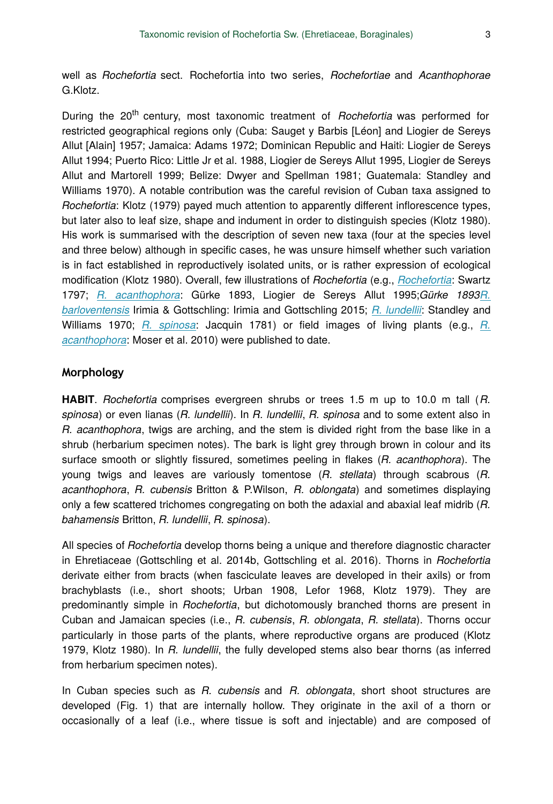well as *Rochefortia* sect. Rochefortia into two series, *Rochefortiae* and *Acanthophorae* G.Klotz.

During the 20<sup>th</sup> century, most taxonomic treatment of *Rochefortia* was performed for restricted geographical regions only (Cuba: Sauget y Barbis [Léon] and Liogier de Sereys Allut [Alain] 1957; Jamaica: Adams 1972; Dominican Republic and Haiti: Liogier de Sereys Allut 1994; Puerto Rico: Little Jr et al. 1988, Liogier de Sereys Allut 1995, Liogier de Sereys Allut and Martorell 1999; Belize: Dwyer and Spellman 1981; Guatemala: Standley and Williams 1970). A notable contribution was the careful revision of Cuban taxa assigned to *Rochefortia*: Klotz (1979) payed much attention to apparently different inflorescence types, but later also to leaf size, shape and indument in order to distinguish species (Klotz 1980). His work is summarised with the description of seven new taxa (four at the species level and three below) although in specific cases, he was unsure himself whether such variation is in fact established in reproductively isolated units, or is rather expression of ecological modification (Klotz 1980). Overall, few illustrations of *Rochefortia* (e.g., *[Rochefortia](http://www.biodiversitylibrary.org/item/23641#page/518/mode/1up)*: Swartz 1797; *[R. acanthophora](http://www.biodiversitylibrary.org/item/100244#page/101/mode/1up)*: Gürke 1893, Liogier de Sereys Allut 1995;*Gürke 189[3R.](http://biotaxa.org/Phytotaxa/article/view/phytotaxa.236.1.5) [barloventensis](http://biotaxa.org/Phytotaxa/article/view/phytotaxa.236.1.5)* Irimia & Gottschling: Irimia and Gottschling 2015; *[R. lundellii](http://www.biodiversitylibrary.org/item/19962#page/174/mode/1up)*: Standley and Williams 1970; *[R. spinosa](http://plantillustrations.org/illustration.php?id_illustration=205371&mobile=0&code_category_taxon=1)*: Jacquin 1781) or field images of living plants (e.g., *[R.](http://www1.usgs.gov/vip/buis/buisrpt.pdf) [acanthophora](http://www1.usgs.gov/vip/buis/buisrpt.pdf)*: Moser et al. 2010) were published to date.

# **Morphology**

**HABIT**. *Rochefortia* comprises evergreen shrubs or trees 1.5 m up to 10.0 m tall (*R. spinosa*) or even lianas (*R. lundellii*). In *R. lundellii*, *R. spinosa* and to some extent also in *R. acanthophora*, twigs are arching, and the stem is divided right from the base like in a shrub (herbarium specimen notes). The bark is light grey through brown in colour and its surface smooth or slightly fissured, sometimes peeling in flakes (*R. acanthophora*). The young twigs and leaves are variously tomentose (*R. stellata*) through scabrous (*R. acanthophora*, *R. cubensis* Britton & P.Wilson, *R. oblongata*) and sometimes displaying only a few scattered trichomes congregating on both the adaxial and abaxial leaf midrib (*R. bahamensis* Britton, *R. lundellii*, *R. spinosa*).

All species of *Rochefortia* develop thorns being a unique and therefore diagnostic character in Ehretiaceae (Gottschling et al. 2014b, Gottschling et al. 2016). Thorns in *Rochefortia* derivate either from bracts (when fasciculate leaves are developed in their axils) or from brachyblasts (i.e., short shoots; Urban 1908, Lefor 1968, Klotz 1979). They are predominantly simple in *Rochefortia*, but dichotomously branched thorns are present in Cuban and Jamaican species (i.e., *R. cubensis*, *R. oblongata*, *R. stellata*). Thorns occur particularly in those parts of the plants, where reproductive organs are produced (Klotz 1979, Klotz 1980). In *R. lundellii*, the fully developed stems also bear thorns (as inferred from herbarium specimen notes).

In Cuban species such as *R. cubensis* and *R. oblongata*, short shoot structures are developed (Fig. 1) that are internally hollow. They originate in the axil of a thorn or occasionally of a leaf (i.e., where tissue is soft and injectable) and are composed of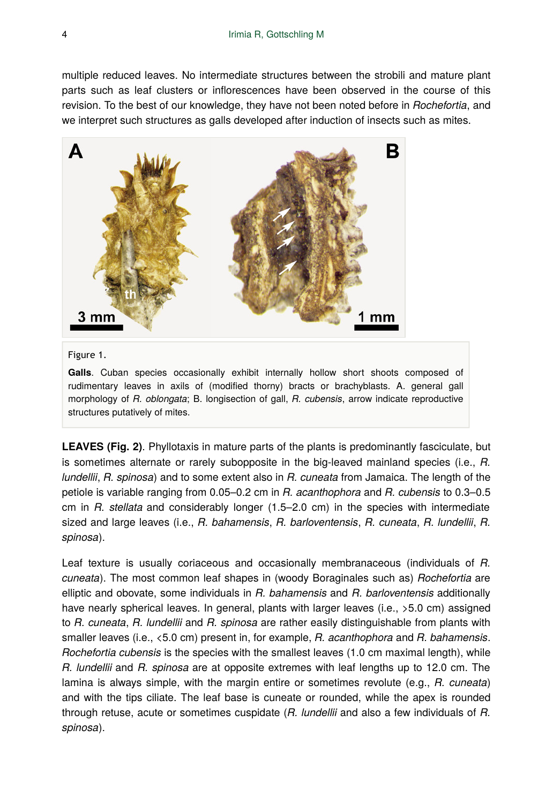multiple reduced leaves. No intermediate structures between the strobili and mature plant parts such as leaf clusters or inflorescences have been observed in the course of this revision. To the best of our knowledge, they have not been noted before in *Rochefortia*, and we interpret such structures as galls developed after induction of insects such as mites.



#### Figure 1.

**Galls**. Cuban species occasionally exhibit internally hollow short shoots composed of rudimentary leaves in axils of (modified thorny) bracts or brachyblasts. A. general gall morphology of *R. oblongata*; B. longisection of gall, *R. cubensis*, arrow indicate reproductive structures putatively of mites.

**LEAVES (Fig. 2)**. Phyllotaxis in mature parts of the plants is predominantly fasciculate, but is sometimes alternate or rarely subopposite in the big-leaved mainland species (i.e., *R. lundellii*, *R. spinosa*) and to some extent also in *R. cuneata* from Jamaica. The length of the petiole is variable ranging from 0.05–0.2 cm in *R. acanthophora* and *R. cubensis* to 0.3–0.5 cm in *R. stellata* and considerably longer (1.5–2.0 cm) in the species with intermediate sized and large leaves (i.e., *R. bahamensis*, *R. barloventensis*, *R. cuneata*, *R. lundellii*, *R. spinosa*).

Leaf texture is usually coriaceous and occasionally membranaceous (individuals of *R. cuneata*). The most common leaf shapes in (woody Boraginales such as) *Rochefortia* are elliptic and obovate, some individuals in *R. bahamensis* and *R. barloventensis* additionally have nearly spherical leaves. In general, plants with larger leaves (i.e.,  $>5.0$  cm) assigned to *R. cuneata*, *R. lundellii* and *R. spinosa* are rather easily distinguishable from plants with smaller leaves (i.e., <5.0 cm) present in, for example, *R. acanthophora* and *R. bahamensis*. *Rochefortia cubensis* is the species with the smallest leaves (1.0 cm maximal length), while *R. lundellii* and *R. spinosa* are at opposite extremes with leaf lengths up to 12.0 cm. The lamina is always simple, with the margin entire or sometimes revolute (e.g., *R. cuneata*) and with the tips ciliate. The leaf base is cuneate or rounded, while the apex is rounded through retuse, acute or sometimes cuspidate (*R. lundellii* and also a few individuals of *R. spinosa*).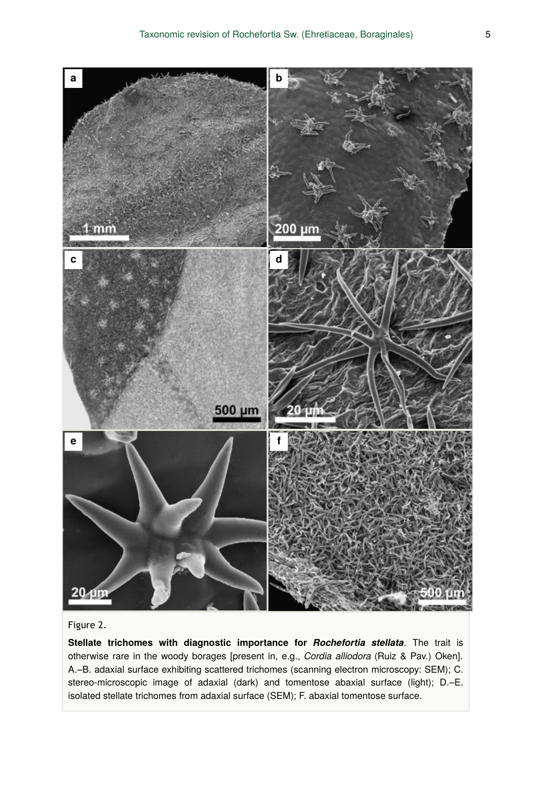

#### Figure 2.

**Stellate trichomes with diagnostic importance for** *Rochefortia stellata*. The trait is otherwise rare in the woody borages [present in, e.g., *Cordia alliodora* (Ruiz & Pav.) Oken]. A.–B. adaxial surface exhibiting scattered trichomes (scanning electron microscopy: SEM); C. stereo-microscopic image of adaxial (dark) and tomentose abaxial surface (light); D.–E. isolated stellate trichomes from adaxial surface (SEM); F. abaxial tomentose surface.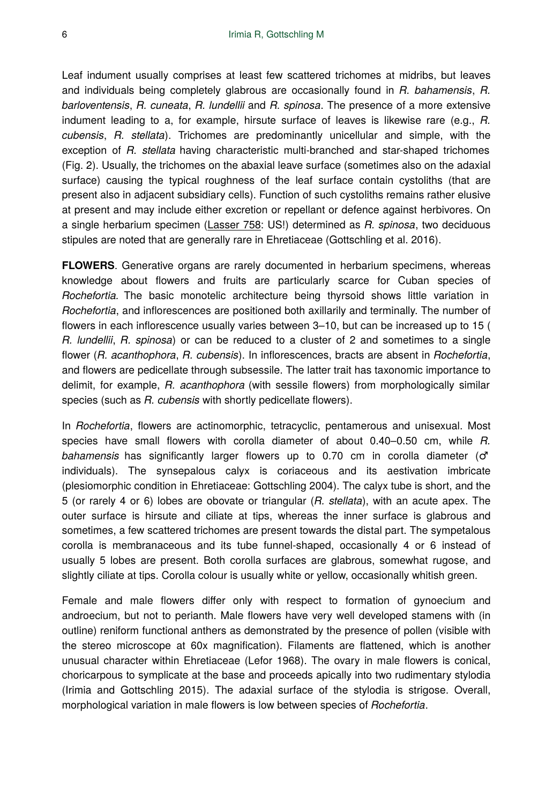Leaf indument usually comprises at least few scattered trichomes at midribs, but leaves and individuals being completely glabrous are occasionally found in *R. bahamensis*, *R. barloventensis*, *R. cuneata*, *R. lundellii* and *R. spinosa*. The presence of a more extensive indument leading to a, for example, hirsute surface of leaves is likewise rare (e.g., *R. cubensis*, *R. stellata*). Trichomes are predominantly unicellular and simple, with the exception of *R. stellata* having characteristic multi-branched and star-shaped trichomes (Fig. 2). Usually, the trichomes on the abaxial leave surface (sometimes also on the adaxial surface) causing the typical roughness of the leaf surface contain cystoliths (that are present also in adjacent subsidiary cells). Function of such cystoliths remains rather elusive at present and may include either excretion or repellant or defence against herbivores. On a single herbarium specimen (Lasser 758: US!) determined as *R. spinosa*, two deciduous stipules are noted that are generally rare in Ehretiaceae (Gottschling et al. 2016).

**FLOWERS**. Generative organs are rarely documented in herbarium specimens, whereas knowledge about flowers and fruits are particularly scarce for Cuban species of *Rochefortia.* The basic monotelic architecture being thyrsoid shows little variation in *Rochefortia*, and inflorescences are positioned both axillarily and terminally. The number of flowers in each inflorescence usually varies between 3–10, but can be increased up to 15 ( *R. lundellii*, *R. spinosa*) or can be reduced to a cluster of 2 and sometimes to a single flower (*R. acanthophora*, *R. cubensis*). In inflorescences, bracts are absent in *Rochefortia*, and flowers are pedicellate through subsessile. The latter trait has taxonomic importance to delimit, for example, *R. acanthophora* (with sessile flowers) from morphologically similar species (such as *R. cubensis* with shortly pedicellate flowers).

In *Rochefortia*, flowers are actinomorphic, tetracyclic, pentamerous and unisexual. Most species have small flowers with corolla diameter of about 0.40–0.50 cm, while *R. bahamensis* has significantly larger flowers up to 0.70 cm in corolla diameter (♂ individuals). The synsepalous calyx is coriaceous and its aestivation imbricate (plesiomorphic condition in Ehretiaceae: Gottschling 2004). The calyx tube is short, and the 5 (or rarely 4 or 6) lobes are obovate or triangular (*R. stellata*), with an acute apex. The outer surface is hirsute and ciliate at tips, whereas the inner surface is glabrous and sometimes, a few scattered trichomes are present towards the distal part. The sympetalous corolla is membranaceous and its tube funnel-shaped, occasionally 4 or 6 instead of usually 5 lobes are present. Both corolla surfaces are glabrous, somewhat rugose, and slightly ciliate at tips. Corolla colour is usually white or yellow, occasionally whitish green.

Female and male flowers differ only with respect to formation of gynoecium and androecium, but not to perianth. Male flowers have very well developed stamens with (in outline) reniform functional anthers as demonstrated by the presence of pollen (visible with the stereo microscope at 60x magnification). Filaments are flattened, which is another unusual character within Ehretiaceae (Lefor 1968). The ovary in male flowers is conical, choricarpous to symplicate at the base and proceeds apically into two rudimentary stylodia (Irimia and Gottschling 2015). The adaxial surface of the stylodia is strigose. Overall, morphological variation in male flowers is low between species of *Rochefortia*.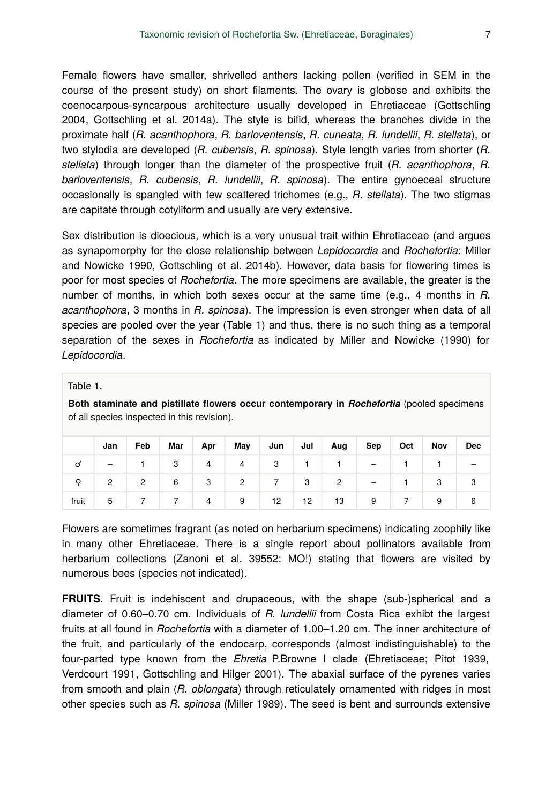Female flowers have smaller, shrivelled anthers lacking pollen (verified in SEM in the course of the present study) on short filaments. The ovary is globose and exhibits the coenocarpous-syncarpous architecture usually developed in Ehretiaceae (Gottschling 2004, Gottschling et al. 2014a). The style is bifid, whereas the branches divide in the proximate half (*R. acanthophora*, *R. barloventensis*, *R. cuneata*, *R. lundellii*, *R. stellata*), or two stylodia are developed (*R. cubensis*, *R. spinosa*). Style length varies from shorter (*R. stellata*) through longer than the diameter of the prospective fruit (*R. acanthophora*, *R. barloventensis*, *R. cubensis*, *R. lundellii*, *R. spinosa*). The entire gynoeceal structure occasionally is spangled with few scattered trichomes (e.g., *R. stellata*). The two stigmas are capitate through cotyliform and usually are very extensive.

Sex distribution is dioecious, which is a very unusual trait within Ehretiaceae (and argues as synapomorphy for the close relationship between *Lepidocordia* and *Rochefortia*: Miller and Nowicke 1990, Gottschling et al. 2014b). However, data basis for flowering times is poor for most species of *Rochefortia*. The more specimens are available, the greater is the number of months, in which both sexes occur at the same time (e.g., 4 months in *R. acanthophora*, 3 months in *R. spinosa*). The impression is even stronger when data of all species are pooled over the year (Table 1) and thus, there is no such thing as a temporal separation of the sexes in *Rochefortia* as indicated by Miller and Nowicke (1990) for *Lepidocordia*.

#### Table 1.

**Both staminate and pistillate flowers occur contemporary in** *Rochefortia* (pooled specimens of all species inspected in this revision).

|       | Jan                      |          | Feb Mar Apr             |          | <b>May</b>     |                                              |                 | Jun Jul Aug                                                                             | ∣ Sep <sup>⊥</sup> | Oct | $\blacksquare$ Nov $\blacksquare$ | <b>Dec</b>               |
|-------|--------------------------|----------|-------------------------|----------|----------------|----------------------------------------------|-----------------|-----------------------------------------------------------------------------------------|--------------------|-----|-----------------------------------|--------------------------|
|       | $\overline{\phantom{a}}$ |          | $\overline{\mathbf{3}}$ | $\sim$ 4 | $\sim$ 4       | $\overline{\mathbf{3}}$                      | $1 - 1$         | $\begin{bmatrix} 1 & 1 \\ 1 & 1 \end{bmatrix}$ = $\begin{bmatrix} 1 \\ 1 \end{bmatrix}$ |                    |     |                                   | $\overline{\phantom{0}}$ |
|       | $\overline{c}$           | $2 \mid$ |                         | 6 3      | $\overline{2}$ | $\begin{array}{ccc} \cdot & 7 & \end{array}$ | $\sim$ 3 $\sim$ | $\overline{\phantom{a}}$                                                                | $\sim$ $-$         |     | 3                                 |                          |
| fruit | 5                        |          |                         | $4 \mid$ | 9              | 12                                           | $\therefore$ 12 | 13                                                                                      | 9                  |     | 9                                 |                          |

Flowers are sometimes fragrant (as noted on herbarium specimens) indicating zoophily like in many other Ehretiaceae. There is a single report about pollinators available from herbarium collections (Zanoni et al. 39552: MO!) stating that flowers are visited by numerous bees (species not indicated).

**FRUITS**. Fruit is indehiscent and drupaceous, with the shape (sub-)spherical and a diameter of 0.60–0.70 cm. Individuals of *R. lundellii* from Costa Rica exhibt the largest fruits at all found in *Rochefortia* with a diameter of 1.00–1.20 cm. The inner architecture of the fruit, and particularly of the endocarp, corresponds (almost indistinguishable) to the four-parted type known from the *Ehretia* P.Browne I clade (Ehretiaceae; Pitot 1939, Verdcourt 1991, Gottschling and Hilger 2001). The abaxial surface of the pyrenes varies from smooth and plain (*R. oblongata*) through reticulately ornamented with ridges in most other species such as *R. spinosa* (Miller 1989). The seed is bent and surrounds extensive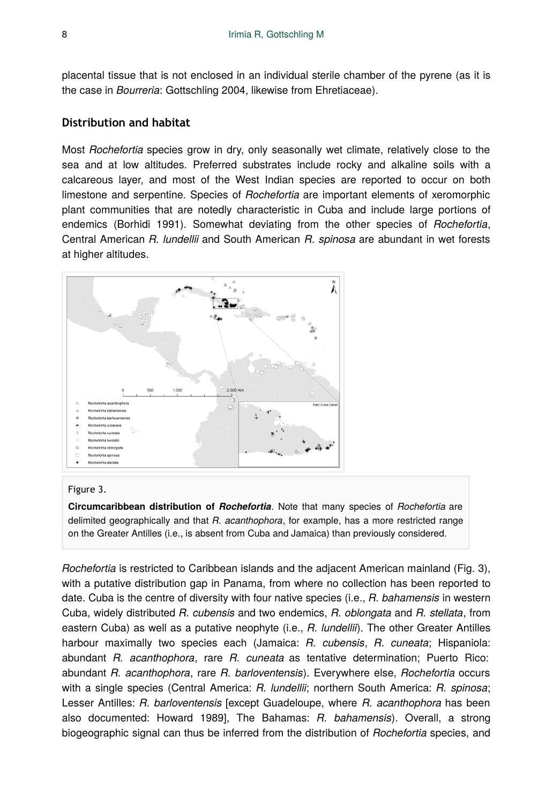placental tissue that is not enclosed in an individual sterile chamber of the pyrene (as it is the case in *Bourreria*: Gottschling 2004, likewise from Ehretiaceae).

# **Distribution and habitat**

Most *Rochefortia* species grow in dry, only seasonally wet climate, relatively close to the sea and at low altitudes. Preferred substrates include rocky and alkaline soils with a calcareous layer, and most of the West Indian species are reported to occur on both limestone and serpentine. Species of *Rochefortia* are important elements of xeromorphic plant communities that are notedly characteristic in Cuba and include large portions of endemics (Borhidi 1991). Somewhat deviating from the other species of *Rochefortia*, Central American *R. lundellii* and South American *R. spinosa* are abundant in wet forests at higher altitudes.



#### Figure 3.

**Circumcaribbean distribution of** *Rochefortia*. Note that many species of *Rochefortia* are delimited geographically and that *R. acanthophora*, for example, has a more restricted range on the Greater Antilles (i.e., is absent from Cuba and Jamaica) than previously considered.

*Rochefortia* is restricted to Caribbean islands and the adjacent American mainland (Fig. 3), with a putative distribution gap in Panama, from where no collection has been reported to date. Cuba is the centre of diversity with four native species (i.e., *R. bahamensis* in western Cuba, widely distributed *R. cubensis* and two endemics, *R. oblongata* and *R. stellata*, from eastern Cuba) as well as a putative neophyte (i.e., *R. lundellii*). The other Greater Antilles harbour maximally two species each (Jamaica: *R. cubensis*, *R. cuneata*; Hispaniola: abundant *R. acanthophora*, rare *R. cuneata* as tentative determination; Puerto Rico: abundant *R. acanthophora*, rare *R. barloventensis*). Everywhere else, *Rochefortia* occurs with a single species (Central America: *R. lundellii*; northern South America: *R. spinosa*; Lesser Antilles: *R. barloventensis* [except Guadeloupe, where *R. acanthophora* has been also documented: Howard 1989], The Bahamas: *R. bahamensis*). Overall, a strong biogeographic signal can thus be inferred from the distribution of *Rochefortia* species, and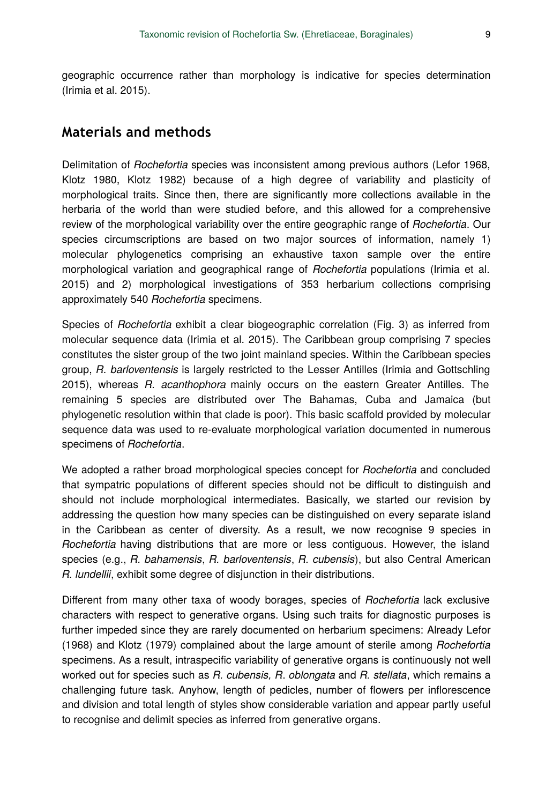geographic occurrence rather than morphology is indicative for species determination (Irimia et al. 2015).

# **Materials and methods**

Delimitation of *Rochefortia* species was inconsistent among previous authors (Lefor 1968, Klotz 1980, Klotz 1982) because of a high degree of variability and plasticity of morphological traits. Since then, there are significantly more collections available in the herbaria of the world than were studied before, and this allowed for a comprehensive review of the morphological variability over the entire geographic range of *Rochefortia*. Our species circumscriptions are based on two major sources of information, namely 1) molecular phylogenetics comprising an exhaustive taxon sample over the entire morphological variation and geographical range of *Rochefortia* populations (Irimia et al. 2015) and 2) morphological investigations of 353 herbarium collections comprising approximately 540 *Rochefortia* specimens.

Species of *Rochefortia* exhibit a clear biogeographic correlation (Fig. 3) as inferred from molecular sequence data (Irimia et al. 2015). The Caribbean group comprising 7 species constitutes the sister group of the two joint mainland species. Within the Caribbean species group, *R. barloventensis* is largely restricted to the Lesser Antilles (Irimia and Gottschling 2015), whereas *R. acanthophora* mainly occurs on the eastern Greater Antilles. The remaining 5 species are distributed over The Bahamas, Cuba and Jamaica (but phylogenetic resolution within that clade is poor). This basic scaffold provided by molecular sequence data was used to re-evaluate morphological variation documented in numerous specimens of *Rochefortia*.

We adopted a rather broad morphological species concept for *Rochefortia* and concluded that sympatric populations of different species should not be difficult to distinguish and should not include morphological intermediates. Basically, we started our revision by addressing the question how many species can be distinguished on every separate island in the Caribbean as center of diversity. As a result, we now recognise 9 species in *Rochefortia* having distributions that are more or less contiguous. However, the island species (e.g., *R. bahamensis*, *R. barloventensis*, *R. cubensis*), but also Central American *R. lundellii*, exhibit some degree of disjunction in their distributions.

Different from many other taxa of woody borages, species of *Rochefortia* lack exclusive characters with respect to generative organs. Using such traits for diagnostic purposes is further impeded since they are rarely documented on herbarium specimens: Already Lefor (1968) and Klotz (1979) complained about the large amount of sterile among *Rochefortia* specimens. As a result, intraspecific variability of generative organs is continuously not well worked out for species such as *R. cubensis, R*. *oblongata* and *R. stellata*, which remains a challenging future task. Anyhow, length of pedicles, number of flowers per inflorescence and division and total length of styles show considerable variation and appear partly useful to recognise and delimit species as inferred from generative organs.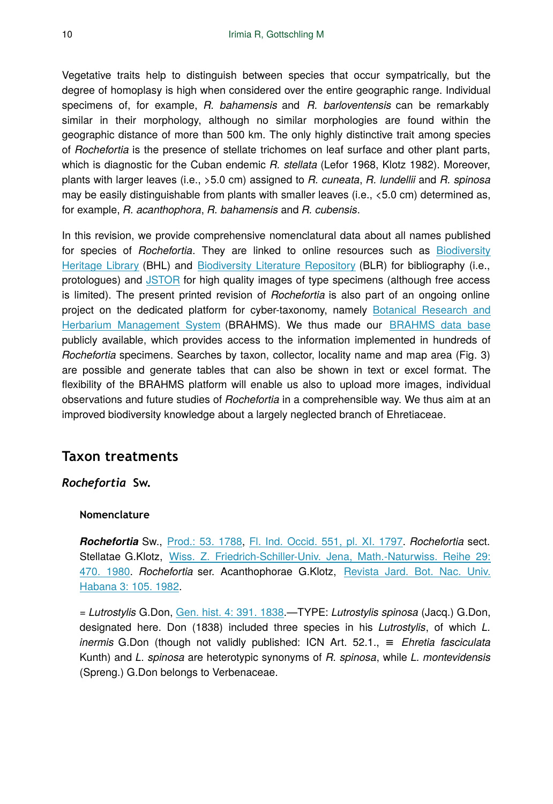Vegetative traits help to distinguish between species that occur sympatrically, but the degree of homoplasy is high when considered over the entire geographic range. Individual specimens of, for example, *R. bahamensis* and *R. barloventensis* can be remarkably similar in their morphology, although no similar morphologies are found within the geographic distance of more than 500 km. The only highly distinctive trait among species of *Rochefortia* is the presence of stellate trichomes on leaf surface and other plant parts, which is diagnostic for the Cuban endemic *R. stellata* (Lefor 1968, Klotz 1982). Moreover, plants with larger leaves (i.e., >5.0 cm) assigned to *R. cuneata*, *R. lundellii* and *R. spinosa* may be easily distinguishable from plants with smaller leaves (i.e., <5.0 cm) determined as, for example, *R. acanthophora*, *R. bahamensis* and *R. cubensis*.

In this revision, we provide comprehensive nomenclatural data about all names published for species of *Rochefortia*. They are linked to online resources such as [Biodiversity](http://www.biodiversitylibrary.org/) [Heritage Library](http://www.biodiversitylibrary.org/) (BHL) and [Biodiversity Literature Repository](https://zenodo.org/collection/user-biosyslit) (BLR) for bibliography (i.e., protologues) and [JSTOR](http://www.jstor.org/) for high quality images of type specimens (although free access is limited). The present printed revision of *Rochefortia* is also part of an ongoing online project on the dedicated platform for cyber-taxonomy, namely [Botanical Research and](http://herbaria.plants.ox.ac.uk/bol/) [Herbarium Management System](http://herbaria.plants.ox.ac.uk/bol/) (BRAHMS). We thus made our [BRAHMS data base](http://herbaria.plants.ox.ac.uk/bol/rochefortia/Explore) publicly available, which provides access to the information implemented in hundreds of *Rochefortia* specimens. Searches by taxon, collector, locality name and map area (Fig. 3) are possible and generate tables that can also be shown in text or excel format. The flexibility of the BRAHMS platform will enable us also to upload more images, individual observations and future studies of *Rochefortia* in a comprehensible way. We thus aim at an improved biodiversity knowledge about a largely neglected branch of Ehretiaceae.

# **Taxon treatments**

# *Rochefortia* **Sw.**

### **Nomenclature**

*Rochefortia* Sw., [Prod.: 53. 1788,](http://www.biodiversitylibrary.org/item/23300#page/69/mode/1up) [Fl. Ind. Occid. 551, pl. XI. 1797.](http://www.biodiversitylibrary.org/item/23641#page/569/mode/1up) *Rochefortia* sect. Stellatae G.Klotz, [Wiss. Z. Friedrich-Schiller-Univ. Jena, Math.-Naturwiss. Reihe 29:](https://zenodo.org/record/22473) [470. 1980](https://zenodo.org/record/22473). *Rochefortia* ser. Acanthophorae G.Klotz, [Revista Jard. Bot. Nac. Univ.](https://zenodo.org/record/22761) [Habana 3: 105. 1982](https://zenodo.org/record/22761).

= *Lutrostylis* G.Don, [Gen. hist. 4: 391. 1838](http://www.biodiversitylibrary.org/item/9906#page/400/mode/1up).—TYPE: *Lutrostylis spinosa* (Jacq.) G.Don, designated here. Don (1838) included three species in his *Lutrostylis*, of which *L. inermis* G.Don (though not validly published: ICN Art. 52.1., ≡ *Ehretia fasciculata* Kunth) and *L. spinosa* are heterotypic synonyms of *R. spinosa*, while *L. montevidensis* (Spreng.) G.Don belongs to Verbenaceae.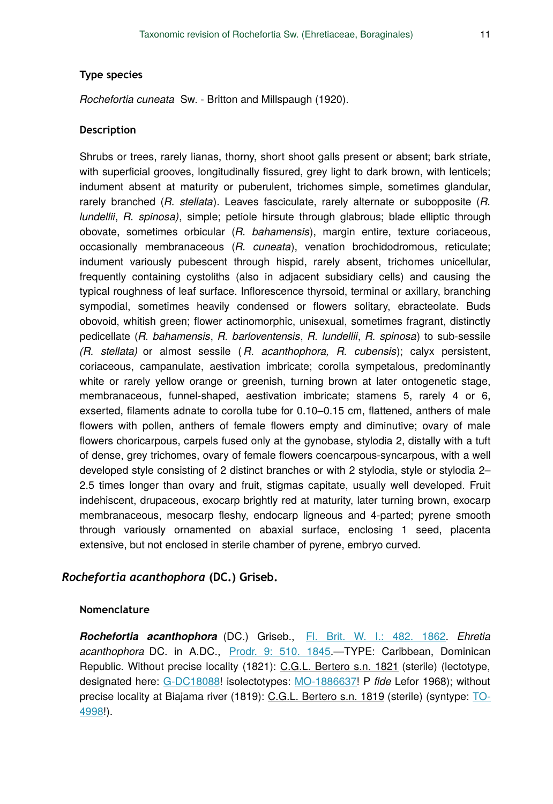# **Type species**

*Rochefortia cuneata* Sw. - Britton and Millspaugh (1920).

# **Description**

Shrubs or trees, rarely lianas, thorny, short shoot galls present or absent; bark striate, with superficial grooves, longitudinally fissured, grey light to dark brown, with lenticels; indument absent at maturity or puberulent, trichomes simple, sometimes glandular, rarely branched (*R. stellata*). Leaves fasciculate, rarely alternate or subopposite (*R. lundellii*, *R. spinosa)*, simple; petiole hirsute through glabrous; blade elliptic through obovate, sometimes orbicular (*R. bahamensis*), margin entire, texture coriaceous, occasionally membranaceous (*R. cuneata*), venation brochidodromous, reticulate; indument variously pubescent through hispid, rarely absent, trichomes unicellular, frequently containing cystoliths (also in adjacent subsidiary cells) and causing the typical roughness of leaf surface. Inflorescence thyrsoid, terminal or axillary, branching sympodial, sometimes heavily condensed or flowers solitary, ebracteolate. Buds obovoid, whitish green; flower actinomorphic, unisexual, sometimes fragrant, distinctly pedicellate (*R. bahamensis*, *R. barloventensis*, *R. lundellii*, *R. spinosa*) to sub-sessile *(R. stellata)* or almost sessile ( *R. acanthophora, R. cubensis*); calyx persistent, coriaceous, campanulate, aestivation imbricate; corolla sympetalous, predominantly white or rarely yellow orange or greenish, turning brown at later ontogenetic stage, membranaceous, funnel-shaped, aestivation imbricate; stamens 5, rarely 4 or 6, exserted, filaments adnate to corolla tube for 0.10–0.15 cm, flattened, anthers of male flowers with pollen, anthers of female flowers empty and diminutive; ovary of male flowers choricarpous, carpels fused only at the gynobase, stylodia 2, distally with a tuft of dense, grey trichomes, ovary of female flowers coencarpous-syncarpous, with a well developed style consisting of 2 distinct branches or with 2 stylodia, style or stylodia 2– 2.5 times longer than ovary and fruit, stigmas capitate, usually well developed. Fruit indehiscent, drupaceous, exocarp brightly red at maturity, later turning brown, exocarp membranaceous, mesocarp fleshy, endocarp ligneous and 4-parted; pyrene smooth through variously ornamented on abaxial surface, enclosing 1 seed, placenta extensive, but not enclosed in sterile chamber of pyrene, embryo curved.

# *Rochefortia acanthophora* **(DC.) Griseb.**

### **Nomenclature**

*Rochefortia acanthophora* (DC.) Griseb., [Fl. Brit. W. I.: 482. 1862](http://www.biodiversitylibrary.org/page/379402#page/499/mode/1up). *Ehretia acanthophora* DC. in A.DC., [Prodr. 9: 510. 1845.](http://www.biodiversitylibrary.org/item/7158#page/515/mode/1up)—TYPE: Caribbean, Dominican Republic. Without precise locality (1821): C.G.L. Bertero s.n. 1821 (sterile) (lectotype, designated here: [G-DC18088](http://www.ville-ge.ch/imagezoom/?fif=cjbiip/cjb5/img_20/GDC018088_1.ptif&cvt=jpeg)! isolectotypes: [MO-1886637!](http://www.tropicos.org/Image/52169) P *fide* Lefor 1968); without precise locality at Biajama river (1819): C.G.L. Bertero s.n. 1819 (sterile) (syntype: [TO-](http://zenodo.org/record/51896#.VON9lo9OLic)[4998](http://zenodo.org/record/51896#.VON9lo9OLic)!).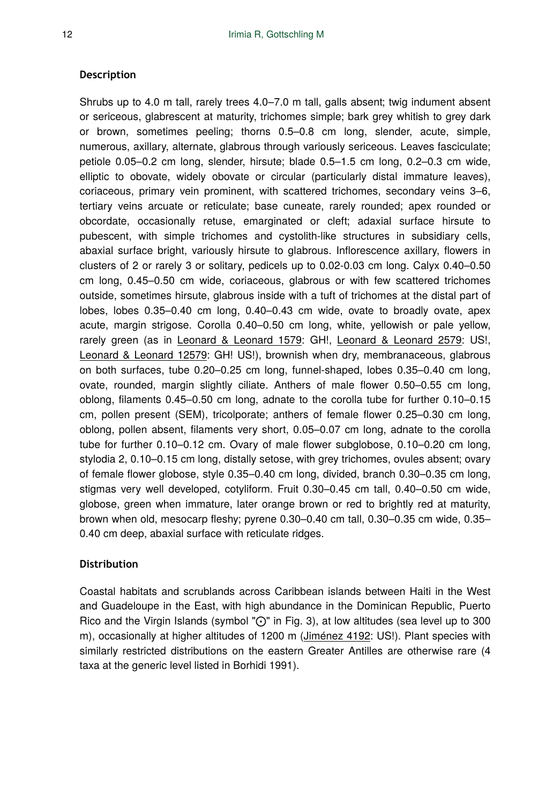### **Description**

Shrubs up to 4.0 m tall, rarely trees 4.0–7.0 m tall, galls absent; twig indument absent or sericeous, glabrescent at maturity, trichomes simple; bark grey whitish to grey dark or brown, sometimes peeling; thorns 0.5–0.8 cm long, slender, acute, simple, numerous, axillary, alternate, glabrous through variously sericeous. Leaves fasciculate; petiole 0.05–0.2 cm long, slender, hirsute; blade 0.5–1.5 cm long, 0.2–0.3 cm wide, elliptic to obovate, widely obovate or circular (particularly distal immature leaves), coriaceous, primary vein prominent, with scattered trichomes, secondary veins 3–6, tertiary veins arcuate or reticulate; base cuneate, rarely rounded; apex rounded or obcordate, occasionally retuse, emarginated or cleft; adaxial surface hirsute to pubescent, with simple trichomes and cystolith-like structures in subsidiary cells, abaxial surface bright, variously hirsute to glabrous. Inflorescence axillary, flowers in clusters of 2 or rarely 3 or solitary, pedicels up to 0.02-0.03 cm long. Calyx 0.40–0.50 cm long, 0.45–0.50 cm wide, coriaceous, glabrous or with few scattered trichomes outside, sometimes hirsute, glabrous inside with a tuft of trichomes at the distal part of lobes, lobes 0.35–0.40 cm long, 0.40–0.43 cm wide, ovate to broadly ovate, apex acute, margin strigose. Corolla 0.40–0.50 cm long, white, yellowish or pale yellow, rarely green (as in Leonard & Leonard 1579: GH!, Leonard & Leonard 2579: US!, Leonard & Leonard 12579: GH! US!), brownish when dry, membranaceous, glabrous on both surfaces, tube 0.20–0.25 cm long, funnel-shaped, lobes 0.35–0.40 cm long, ovate, rounded, margin slightly ciliate. Anthers of male flower 0.50–0.55 cm long, oblong, filaments 0.45–0.50 cm long, adnate to the corolla tube for further 0.10–0.15 cm, pollen present (SEM), tricolporate; anthers of female flower 0.25–0.30 cm long, oblong, pollen absent, filaments very short, 0.05–0.07 cm long, adnate to the corolla tube for further 0.10–0.12 cm. Ovary of male flower subglobose, 0.10–0.20 cm long, stylodia 2, 0.10–0.15 cm long, distally setose, with grey trichomes, ovules absent; ovary of female flower globose, style 0.35–0.40 cm long, divided, branch 0.30–0.35 cm long, stigmas very well developed, cotyliform. Fruit 0.30–0.45 cm tall, 0.40–0.50 cm wide, globose, green when immature, later orange brown or red to brightly red at maturity, brown when old, mesocarp fleshy; pyrene 0.30–0.40 cm tall, 0.30–0.35 cm wide, 0.35– 0.40 cm deep, abaxial surface with reticulate ridges.

# **Distribution**

Coastal habitats and scrublands across Caribbean islands between Haiti in the West and Guadeloupe in the East, with high abundance in the Dominican Republic, Puerto Rico and the Virgin Islands (symbol "⨀" in Fig. 3), at low altitudes (sea level up to 300 m), occasionally at higher altitudes of 1200 m (Jiménez 4192: US!). Plant species with similarly restricted distributions on the eastern Greater Antilles are otherwise rare (4 taxa at the generic level listed in Borhidi 1991).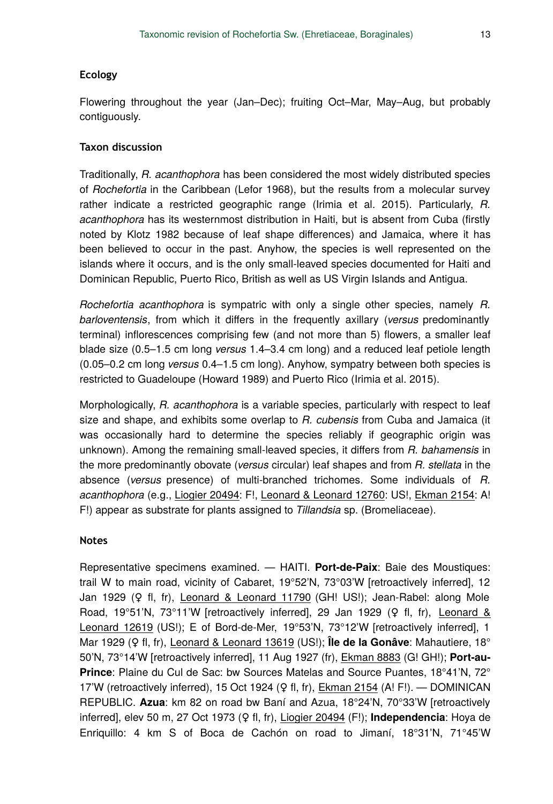# **Ecology**

Flowering throughout the year (Jan–Dec); fruiting Oct–Mar, May–Aug, but probably contiguously.

# **Taxon discussion**

Traditionally, *R. acanthophora* has been considered the most widely distributed species of *Rochefortia* in the Caribbean (Lefor 1968), but the results from a molecular survey rather indicate a restricted geographic range (Irimia et al. 2015). Particularly, *R. acanthophora* has its westernmost distribution in Haiti, but is absent from Cuba (firstly noted by Klotz 1982 because of leaf shape differences) and Jamaica, where it has been believed to occur in the past. Anyhow, the species is well represented on the islands where it occurs, and is the only small-leaved species documented for Haiti and Dominican Republic, Puerto Rico, British as well as US Virgin Islands and Antigua.

*Rochefortia acanthophora* is sympatric with only a single other species, namely *R. barloventensis*, from which it differs in the frequently axillary (*versus* predominantly terminal) inflorescences comprising few (and not more than 5) flowers, a smaller leaf blade size (0.5–1.5 cm long *versus* 1.4–3.4 cm long) and a reduced leaf petiole length (0.05–0.2 cm long *versus* 0.4–1.5 cm long). Anyhow, sympatry between both species is restricted to Guadeloupe (Howard 1989) and Puerto Rico (Irimia et al. 2015).

Morphologically, *R. acanthophora* is a variable species, particularly with respect to leaf size and shape, and exhibits some overlap to *R. cubensis* from Cuba and Jamaica (it was occasionally hard to determine the species reliably if geographic origin was unknown). Among the remaining small-leaved species, it differs from *R. bahamensis* in the more predominantly obovate (*versus* circular) leaf shapes and from *R. stellata* in the absence (*versus* presence) of multi-branched trichomes. Some individuals of *R. acanthophora* (e.g., Liogier 20494: F!, Leonard & Leonard 12760: US!, Ekman 2154: A! F!) appear as substrate for plants assigned to *Tillandsia* sp. (Bromeliaceae).

### **Notes**

Representative specimens examined. — HAITI. **Port-de-Paix**: Baie des Moustiques: trail W to main road, vicinity of Cabaret, 19°52'N, 73°03'W [retroactively inferred], 12 Jan 1929 (♀ fl, fr), Leonard & Leonard 11790 (GH! US!); Jean-Rabel: along Mole Road, 19°51'N, 73°11'W [retroactively inferred], 29 Jan 1929 (♀ fl, fr), Leonard & Leonard 12619 (US!); E of Bord-de-Mer, 19°53'N, 73°12'W [retroactively inferred], 1 Mar 1929 (♀ fl, fr), Leonard & Leonard 13619 (US!); **Île de la Gonâve**: Mahautiere, 18° 50'N, 73°14'W [retroactively inferred], 11 Aug 1927 (fr), Ekman 8883 (G! GH!); **Port-au-Prince**: Plaine du Cul de Sac: bw Sources Matelas and Source Puantes, 18°41'N, 72° 17'W (retroactively inferred), 15 Oct 1924 (♀ fl, fr), Ekman 2154 (A! F!). — DOMINICAN REPUBLIC. **Azua**: km 82 on road bw Baní and Azua, 18°24'N, 70°33'W [retroactively inferred], elev 50 m, 27 Oct 1973 (♀ fl, fr), Liogier 20494 (F!); **Independencia**: Hoya de Enriquillo: 4 km S of Boca de Cachón on road to Jimaní, 18°31'N, 71°45'W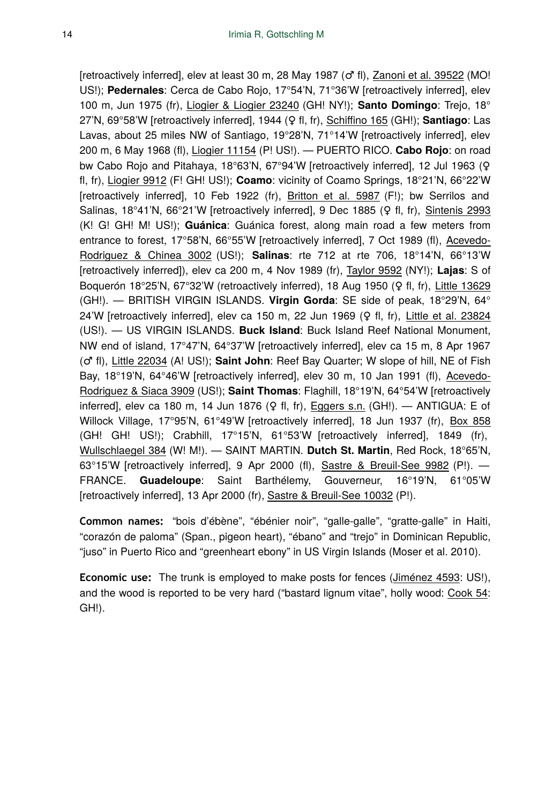[retroactively inferred], elev at least 30 m, 28 May 1987 (♂ fl), Zanoni et al. 39522 (MO! US!); **Pedernales**: Cerca de Cabo Rojo, 17°54'N, 71°36'W [retroactively inferred], elev 100 m, Jun 1975 (fr), Liogier & Liogier 23240 (GH! NY!); **Santo Domingo**: Trejo, 18° 27'N, 69°58'W [retroactively inferred], 1944 (♀ fl, fr), Schiffino 165 (GH!); **Santiago**: Las Lavas, about 25 miles NW of Santiago, 19°28'N, 71°14'W [retroactively inferred], elev 200 m, 6 May 1968 (fl), Liogier 11154 (P! US!). — PUERTO RICO. **Cabo Rojo**: on road bw Cabo Rojo and Pitahaya, 18°63'N, 67°94'W [retroactively inferred], 12 Jul 1963 (♀ fl, fr), Liogier 9912 (F! GH! US!); **Coamo**: vicinity of Coamo Springs, 18°21'N, 66°22'W [retroactively inferred], 10 Feb 1922 (fr), Britton et al. 5987 (F!); bw Serrilos and Salinas, 18°41'N, 66°21'W [retroactively inferred], 9 Dec 1885 (♀ fl, fr), Sintenis 2993 (K! G! GH! M! US!); **Guánica**: Guánica forest, along main road a few meters from entrance to forest, 17°58'N, 66°55'W [retroactively inferred], 7 Oct 1989 (fl), Acevedo-Rodriguez & Chinea 3002 (US!); **Salinas**: rte 712 at rte 706, 18°14'N, 66°13'W [retroactively inferred]), elev ca 200 m, 4 Nov 1989 (fr), Taylor 9592 (NY!); **Lajas**: S of Boquerón 18°25'N, 67°32'W (retroactively inferred), 18 Aug 1950 (♀ fl, fr), Little 13629 (GH!). — BRITISH VIRGIN ISLANDS. **Virgin Gorda**: SE side of peak, 18°29'N, 64° 24'W [retroactively inferred], elev ca 150 m, 22 Jun 1969 (♀ fl, fr), Little et al. 23824 (US!). — US VIRGIN ISLANDS. **Buck Island**: Buck Island Reef National Monument, NW end of island, 17°47'N, 64°37'W [retroactively inferred], elev ca 15 m, 8 Apr 1967 (♂ fl), Little 22034 (A! US!); **Saint John**: Reef Bay Quarter; W slope of hill, NE of Fish Bay, 18°19'N, 64°46'W [retroactively inferred], elev 30 m, 10 Jan 1991 (fl), Acevedo-Rodriguez & Siaca 3909 (US!); **Saint Thomas**: Flaghill, 18°19'N, 64°54'W [retroactively inferred], elev ca 180 m, 14 Jun 1876 ( $\varphi$  fl, fr), Eggers s.n. (GH!). — ANTIGUA: E of Willock Village, 17°95'N, 61°49'W [retroactively inferred], 18 Jun 1937 (fr), Box 858 (GH! GH! US!); Crabhill, 17°15'N, 61°53'W [retroactively inferred], 1849 (fr), Wullschlaegel 384 (W! M!). — SAINT MARTIN. **Dutch St. Martin**, Red Rock, 18°65'N, 63°15'W [retroactively inferred], 9 Apr 2000 (fl), Sastre & Breuil-See 9982 (P!). — FRANCE. **Guadeloupe**: Saint Barthélemy, Gouverneur, 16°19'N, 61°05'W [retroactively inferred], 13 Apr 2000 (fr), Sastre & Breuil-See 10032 (P!).

**Common names:** "bois d'ébène", "ébénier noir", "galle-galle", "gratte-galle" in Haiti, "corazón de paloma" (Span., pigeon heart), "ébano" and "trejo" in Dominican Republic, "juso" in Puerto Rico and "greenheart ebony" in US Virgin Islands (Moser et al. 2010).

**Economic use:** The trunk is employed to make posts for fences (Jiménez 4593: US!), and the wood is reported to be very hard ("bastard lignum vitae", holly wood: Cook 54: GH!).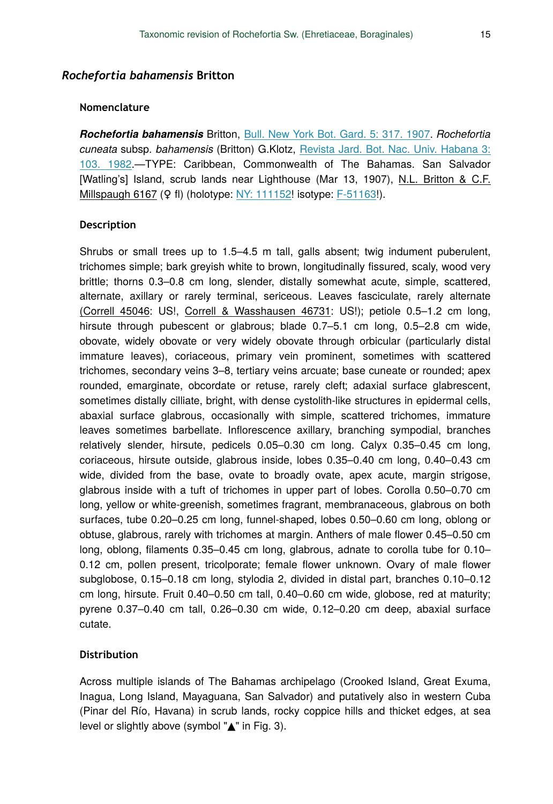#### *Rochefortia bahamensis* **Britton**

### **Nomenclature**

*Rochefortia bahamensis* Britton, [Bull. New York Bot. Gard. 5: 317. 1907.](http://www.biodiversitylibrary.org/item/97285#page/373/mode/1up) *Rochefortia cuneata* subsp. *bahamensis* (Britton) G.Klotz, [Revista Jard. Bot. Nac. Univ. Habana 3:](https://zenodo.org/record/22771#.VyYS0tThDIU) [103. 1982](https://zenodo.org/record/22771#.VyYS0tThDIU).—TYPE: Caribbean, Commonwealth of The Bahamas. San Salvador [Watling's] Island, scrub lands near Lighthouse (Mar 13, 1907), N.L. Britton & C.F. Millspaugh 6167 (♀ fl) (holotype: [NY: 111152!](http://sweetgum.nybg.org/vh/specimen.php?irn=375629) isotype: [F-51163](http://plants.jstor.org/stable/history/10.5555/al.ap.specimen.f0052556f)!).

#### **Description**

Shrubs or small trees up to 1.5–4.5 m tall, galls absent; twig indument puberulent, trichomes simple; bark greyish white to brown, longitudinally fissured, scaly, wood very brittle; thorns 0.3–0.8 cm long, slender, distally somewhat acute, simple, scattered, alternate, axillary or rarely terminal, sericeous. Leaves fasciculate, rarely alternate (Correll 45046: US!, Correll & Wasshausen 46731: US!); petiole 0.5–1.2 cm long, hirsute through pubescent or glabrous; blade 0.7–5.1 cm long, 0.5–2.8 cm wide, obovate, widely obovate or very widely obovate through orbicular (particularly distal immature leaves), coriaceous, primary vein prominent, sometimes with scattered trichomes, secondary veins 3–8, tertiary veins arcuate; base cuneate or rounded; apex rounded, emarginate, obcordate or retuse, rarely cleft; adaxial surface glabrescent, sometimes distally cilliate, bright, with dense cystolith-like structures in epidermal cells, abaxial surface glabrous, occasionally with simple, scattered trichomes, immature leaves sometimes barbellate. Inflorescence axillary, branching sympodial, branches relatively slender, hirsute, pedicels 0.05–0.30 cm long. Calyx 0.35–0.45 cm long, coriaceous, hirsute outside, glabrous inside, lobes 0.35–0.40 cm long, 0.40–0.43 cm wide, divided from the base, ovate to broadly ovate, apex acute, margin strigose, glabrous inside with a tuft of trichomes in upper part of lobes. Corolla 0.50–0.70 cm long, yellow or white-greenish, sometimes fragrant, membranaceous, glabrous on both surfaces, tube 0.20–0.25 cm long, funnel-shaped, lobes 0.50–0.60 cm long, oblong or obtuse, glabrous, rarely with trichomes at margin. Anthers of male flower 0.45–0.50 cm long, oblong, filaments 0.35–0.45 cm long, glabrous, adnate to corolla tube for 0.10– 0.12 cm, pollen present, tricolporate; female flower unknown. Ovary of male flower subglobose, 0.15–0.18 cm long, stylodia 2, divided in distal part, branches 0.10–0.12 cm long, hirsute. Fruit 0.40–0.50 cm tall, 0.40–0.60 cm wide, globose, red at maturity; pyrene 0.37–0.40 cm tall, 0.26–0.30 cm wide, 0.12–0.20 cm deep, abaxial surface cutate.

#### **Distribution**

Across multiple islands of The Bahamas archipelago (Crooked Island, Great Exuma, Inagua, Long Island, Mayaguana, San Salvador) and putatively also in western Cuba (Pinar del Río, Havana) in scrub lands, rocky coppice hills and thicket edges, at sea level or slightly above (symbol "▲" in Fig. 3).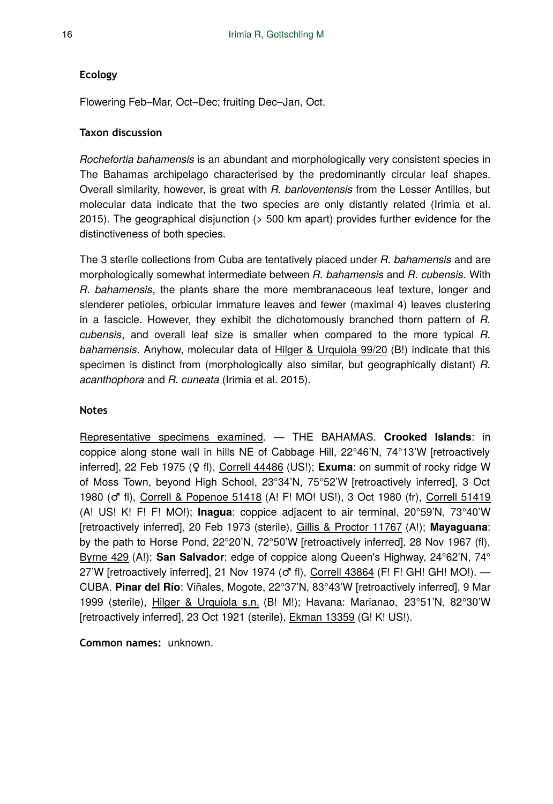# **Ecology**

Flowering Feb–Mar, Oct–Dec; fruiting Dec–Jan, Oct.

# **Taxon discussion**

*Rochefortia bahamensis* is an abundant and morphologically very consistent species in The Bahamas archipelago characterised by the predominantly circular leaf shapes. Overall similarity, however, is great with *R. barloventensis* from the Lesser Antilles, but molecular data indicate that the two species are only distantly related (Irimia et al. 2015). The geographical disjunction (> 500 km apart) provides further evidence for the distinctiveness of both species.

The 3 sterile collections from Cuba are tentatively placed under *R. bahamensis* and are morphologically somewhat intermediate between *R. bahamensis* and *R. cubensis*. With *R. bahamensis*, the plants share the more membranaceous leaf texture, longer and slenderer petioles, orbicular immature leaves and fewer (maximal 4) leaves clustering in a fascicle. However, they exhibit the dichotomously branched thorn pattern of *R. cubensis*, and overall leaf size is smaller when compared to the more typical *R. bahamensis*. Anyhow, molecular data of Hilger & Urquiola 99/20 (B!) indicate that this specimen is distinct from (morphologically also similar, but geographically distant) *R. acanthophora* and *R. cuneata* (Irimia et al. 2015).

# **Notes**

Representative specimens examined. — THE BAHAMAS. **Crooked Islands**: in coppice along stone wall in hills NE of Cabbage Hill, 22°46'N, 74°13'W [retroactively inferred], 22 Feb 1975 (♀ fl), Correll 44486 (US!); **Exuma**: on summit of rocky ridge W of Moss Town, beyond High School, 23°34'N, 75°52'W [retroactively inferred], 3 Oct 1980 (♂ fl), Correll & Popenoe 51418 (A! F! MO! US!), 3 Oct 1980 (fr), Correll 51419 (A! US! K! F! F! MO!); **Inagua**: coppice adjacent to air terminal, 20°59'N, 73°40'W [retroactively inferred], 20 Feb 1973 (sterile), Gillis & Proctor 11767 (A!); **Mayaguana**: by the path to Horse Pond, 22°20'N, 72°50'W [retroactively inferred], 28 Nov 1967 (fl), Byrne 429 (A!); **San Salvador**: edge of coppice along Queen's Highway, 24°62'N, 74° 27'W [retroactively inferred], 21 Nov 1974 ( $\sigma$ <sup>t</sup> fl), Correll 43864 (F! F! GH! GH! MO!). -CUBA. **Pinar del Río**: Viñales, Mogote, 22°37'N, 83°43'W [retroactively inferred], 9 Mar 1999 (sterile), Hilger & Urquiola s.n. (B! M!); Havana: Marianao, 23°51'N, 82°30'W [retroactively inferred], 23 Oct 1921 (sterile), Ekman 13359 (G! K! US!).

**Common names:** unknown.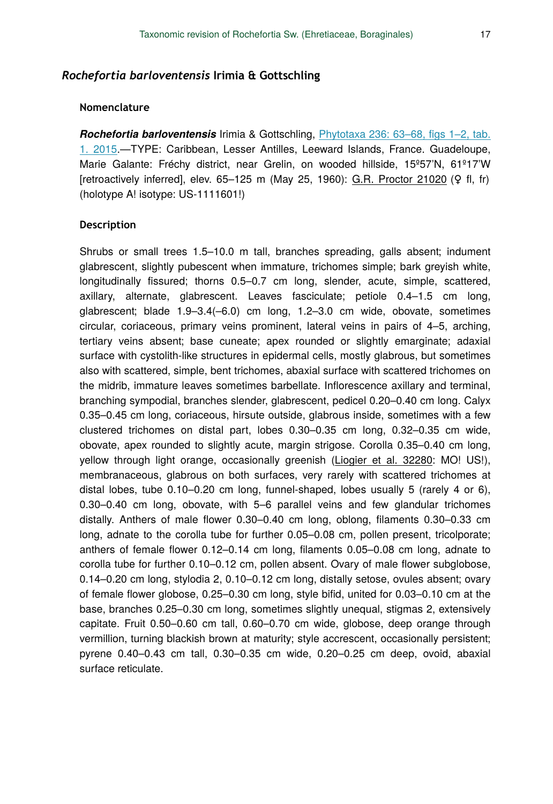#### *Rochefortia barloventensis* **Irimia & Gottschling**

#### **Nomenclature**

*Rochefortia barloventensis* Irimia & Gottschling, [Phytotaxa 236: 63–68,](http://biotaxa.org/Phytotaxa/article/view/phytotaxa.236.1.5) figs 1–2, tab. [1. 2015](http://biotaxa.org/Phytotaxa/article/view/phytotaxa.236.1.5).—TYPE: Caribbean, Lesser Antilles, Leeward Islands, France. Guadeloupe, Marie Galante: Fréchy district, near Grelin, on wooded hillside, 15º57'N, 61º17'W [retroactively inferred], elev.  $65-125$  m (May 25, 1960): G.R. Proctor 21020 (Q fl, fr) (holotype A! isotype: US-1111601!)

#### **Description**

Shrubs or small trees 1.5–10.0 m tall, branches spreading, galls absent; indument glabrescent, slightly pubescent when immature, trichomes simple; bark greyish white, longitudinally fissured; thorns 0.5–0.7 cm long, slender, acute, simple, scattered, axillary, alternate, glabrescent. Leaves fasciculate; petiole 0.4–1.5 cm long, glabrescent; blade 1.9–3.4(–6.0) cm long, 1.2–3.0 cm wide, obovate, sometimes circular, coriaceous, primary veins prominent, lateral veins in pairs of 4–5, arching, tertiary veins absent; base cuneate; apex rounded or slightly emarginate; adaxial surface with cystolith-like structures in epidermal cells, mostly glabrous, but sometimes also with scattered, simple, bent trichomes, abaxial surface with scattered trichomes on the midrib, immature leaves sometimes barbellate. Inflorescence axillary and terminal, branching sympodial, branches slender, glabrescent, pedicel 0.20–0.40 cm long. Calyx 0.35–0.45 cm long, coriaceous, hirsute outside, glabrous inside, sometimes with a few clustered trichomes on distal part, lobes 0.30–0.35 cm long, 0.32–0.35 cm wide, obovate, apex rounded to slightly acute, margin strigose. Corolla 0.35–0.40 cm long, yellow through light orange, occasionally greenish (Liogier et al. 32280: MO! US!), membranaceous, glabrous on both surfaces, very rarely with scattered trichomes at distal lobes, tube 0.10–0.20 cm long, funnel-shaped, lobes usually 5 (rarely 4 or 6), 0.30–0.40 cm long, obovate, with 5–6 parallel veins and few glandular trichomes distally. Anthers of male flower 0.30–0.40 cm long, oblong, filaments 0.30–0.33 cm long, adnate to the corolla tube for further 0.05–0.08 cm, pollen present, tricolporate; anthers of female flower 0.12–0.14 cm long, filaments 0.05–0.08 cm long, adnate to corolla tube for further 0.10–0.12 cm, pollen absent. Ovary of male flower subglobose, 0.14–0.20 cm long, stylodia 2, 0.10–0.12 cm long, distally setose, ovules absent; ovary of female flower globose, 0.25–0.30 cm long, style bifid, united for 0.03–0.10 cm at the base, branches 0.25–0.30 cm long, sometimes slightly unequal, stigmas 2, extensively capitate. Fruit 0.50–0.60 cm tall, 0.60–0.70 cm wide, globose, deep orange through vermillion, turning blackish brown at maturity; style accrescent, occasionally persistent; pyrene 0.40–0.43 cm tall, 0.30–0.35 cm wide, 0.20–0.25 cm deep, ovoid, abaxial surface reticulate.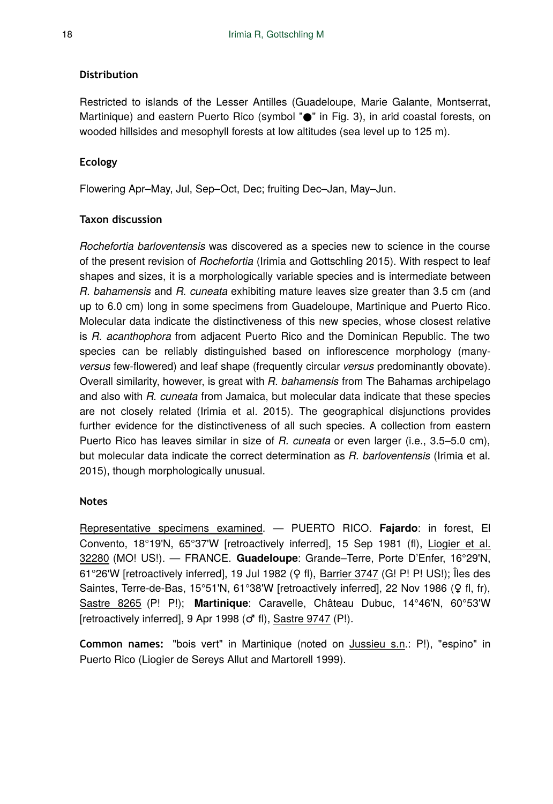# **Distribution**

Restricted to islands of the Lesser Antilles (Guadeloupe, Marie Galante, Montserrat, Martinique) and eastern Puerto Rico (symbol "●" in Fig. 3), in arid coastal forests, on wooded hillsides and mesophyll forests at low altitudes (sea level up to 125 m).

# **Ecology**

Flowering Apr–May, Jul, Sep–Oct, Dec; fruiting Dec–Jan, May–Jun.

# **Taxon discussion**

*Rochefortia barloventensis* was discovered as a species new to science in the course of the present revision of *Rochefortia* (Irimia and Gottschling 2015). With respect to leaf shapes and sizes, it is a morphologically variable species and is intermediate between *R. bahamensis* and *R. cuneata* exhibiting mature leaves size greater than 3.5 cm (and up to 6.0 cm) long in some specimens from Guadeloupe, Martinique and Puerto Rico. Molecular data indicate the distinctiveness of this new species, whose closest relative is *R. acanthophora* from adjacent Puerto Rico and the Dominican Republic. The two species can be reliably distinguished based on inflorescence morphology (many*versus* few-flowered) and leaf shape (frequently circular *versus* predominantly obovate). Overall similarity, however, is great with *R. bahamensis* from The Bahamas archipelago and also with *R. cuneata* from Jamaica, but molecular data indicate that these species are not closely related (Irimia et al. 2015). The geographical disjunctions provides further evidence for the distinctiveness of all such species. A collection from eastern Puerto Rico has leaves similar in size of *R. cuneata* or even larger (i.e., 3.5–5.0 cm), but molecular data indicate the correct determination as *R. barloventensis* (Irimia et al. 2015), though morphologically unusual.

# **Notes**

Representative specimens examined. — PUERTO RICO. **Fajardo**: in forest, El Convento, 18°19'N, 65°37'W [retroactively inferred], 15 Sep 1981 (fl), Liogier et al. 32280 (MO! US!). — FRANCE. **Guadeloupe**: Grande–Terre, Porte D'Enfer, 16°29'N, 61°26'W [retroactively inferred], 19 Jul 1982 (♀ fl), Barrier 3747 (G! P! P! US!); Îles des Saintes, Terre-de-Bas, 15°51'N, 61°38'W [retroactively inferred], 22 Nov 1986 (♀ fl, fr), Sastre 8265 (P! P!); **Martinique**: Caravelle, Château Dubuc, 14°46'N, 60°53'W [retroactively inferred], 9 Apr 1998 (o<sup>t</sup> fl), Sastre 9747 (P!).

**Common names:** "bois vert" in Martinique (noted on Jussieu s.n.: P!), "espino" in Puerto Rico (Liogier de Sereys Allut and Martorell 1999).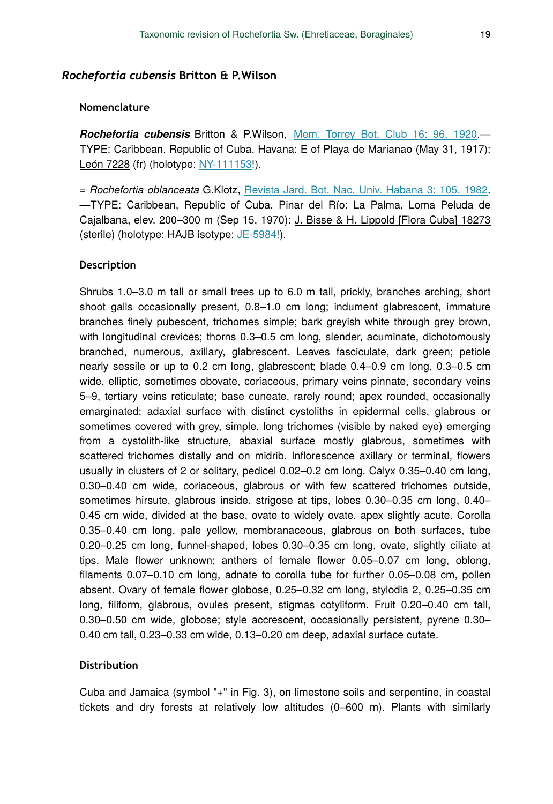### *Rochefortia cubensis* **Britton & P.Wilson**

### **Nomenclature**

*Rochefortia cubensis* Britton & P.Wilson, [Mem. Torrey Bot. Club 16: 96. 1920.](http://www.biodiversitylibrary.org/item/98629#page/114/mode/1up)— TYPE: Caribbean, Republic of Cuba. Havana: E of Playa de Marianao (May 31, 1917): León 7228 (fr) (holotype: [NY-111153](http://sweetgum.nybg.org/vh/specimen.php?irn=223957)!).

= *Rochefortia oblanceata* G.Klotz, [Revista Jard. Bot. Nac. Univ. Habana 3: 105. 1982.](https://zenodo.org/record/22776) —TYPE: Caribbean, Republic of Cuba. Pinar del Río: La Palma, Loma Peluda de Cajalbana, elev. 200–300 m (Sep 15, 1970): J. Bisse & H. Lippold [Flora Cuba] 18273 (sterile) (holotype: HAJB isotype: [JE-5984](http://plants.jstor.org/stable/10.5555/al.ap.specimen.je00005984)!).

### **Description**

Shrubs 1.0–3.0 m tall or small trees up to 6.0 m tall, prickly, branches arching, short shoot galls occasionally present, 0.8–1.0 cm long; indument glabrescent, immature branches finely pubescent, trichomes simple; bark greyish white through grey brown, with longitudinal crevices; thorns 0.3–0.5 cm long, slender, acuminate, dichotomously branched, numerous, axillary, glabrescent. Leaves fasciculate, dark green; petiole nearly sessile or up to 0.2 cm long, glabrescent; blade 0.4–0.9 cm long, 0.3–0.5 cm wide, elliptic, sometimes obovate, coriaceous, primary veins pinnate, secondary veins 5–9, tertiary veins reticulate; base cuneate, rarely round; apex rounded, occasionally emarginated; adaxial surface with distinct cystoliths in epidermal cells, glabrous or sometimes covered with grey, simple, long trichomes (visible by naked eye) emerging from a cystolith-like structure, abaxial surface mostly glabrous, sometimes with scattered trichomes distally and on midrib. Inflorescence axillary or terminal, flowers usually in clusters of 2 or solitary, pedicel 0.02–0.2 cm long. Calyx 0.35–0.40 cm long, 0.30–0.40 cm wide, coriaceous, glabrous or with few scattered trichomes outside, sometimes hirsute, glabrous inside, strigose at tips, lobes 0.30–0.35 cm long, 0.40– 0.45 cm wide, divided at the base, ovate to widely ovate, apex slightly acute. Corolla 0.35–0.40 cm long, pale yellow, membranaceous, glabrous on both surfaces, tube 0.20–0.25 cm long, funnel-shaped, lobes 0.30–0.35 cm long, ovate, slightly ciliate at tips. Male flower unknown; anthers of female flower 0.05–0.07 cm long, oblong, filaments 0.07–0.10 cm long, adnate to corolla tube for further 0.05–0.08 cm, pollen absent. Ovary of female flower globose, 0.25–0.32 cm long, stylodia 2, 0.25–0.35 cm long, filiform, glabrous, ovules present, stigmas cotyliform. Fruit 0.20–0.40 cm tall, 0.30–0.50 cm wide, globose; style accrescent, occasionally persistent, pyrene 0.30– 0.40 cm tall, 0.23–0.33 cm wide, 0.13–0.20 cm deep, adaxial surface cutate.

### **Distribution**

Cuba and Jamaica (symbol "+" in Fig. 3), on limestone soils and serpentine, in coastal tickets and dry forests at relatively low altitudes (0–600 m). Plants with similarly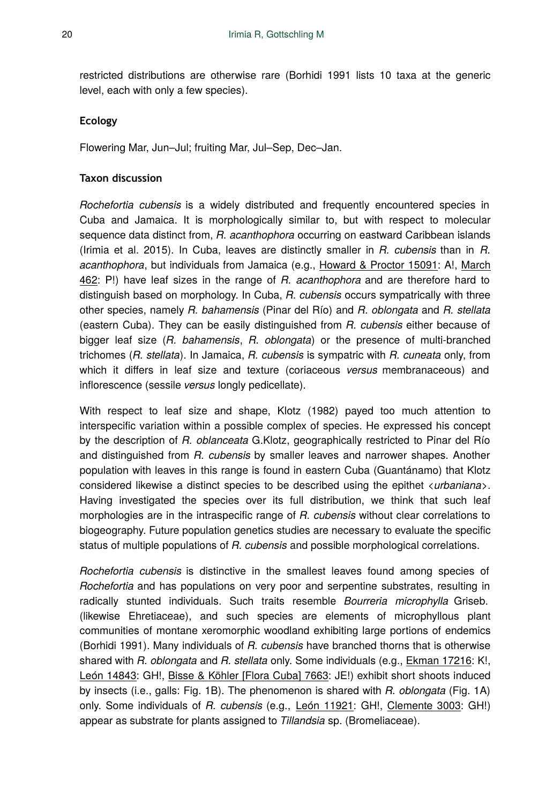restricted distributions are otherwise rare (Borhidi 1991 lists 10 taxa at the generic level, each with only a few species).

# **Ecology**

Flowering Mar, Jun–Jul; fruiting Mar, Jul–Sep, Dec–Jan.

# **Taxon discussion**

*Rochefortia cubensis* is a widely distributed and frequently encountered species in Cuba and Jamaica. It is morphologically similar to, but with respect to molecular sequence data distinct from, *R. acanthophora* occurring on eastward Caribbean islands (Irimia et al. 2015). In Cuba, leaves are distinctly smaller in *R. cubensis* than in *R. acanthophora*, but individuals from Jamaica (e.g., Howard & Proctor 15091: A!, March 462: P!) have leaf sizes in the range of *R. acanthophora* and are therefore hard to distinguish based on morphology. In Cuba, *R. cubensis* occurs sympatrically with three other species, namely *R. bahamensis* (Pinar del Río) and *R. oblongata* and *R. stellata* (eastern Cuba). They can be easily distinguished from *R. cubensis* either because of bigger leaf size (*R. bahamensis*, *R. oblongata*) or the presence of multi-branched trichomes (*R. stellata*). In Jamaica, *R. cubensis* is sympatric with *R. cuneata* only, from which it differs in leaf size and texture (coriaceous *versus* membranaceous) and inflorescence (sessile *versus* longly pedicellate).

With respect to leaf size and shape, Klotz (1982) payed too much attention to interspecific variation within a possible complex of species. He expressed his concept by the description of *R. oblanceata* G.Klotz, geographically restricted to Pinar del Río and distinguished from *R. cubensis* by smaller leaves and narrower shapes. Another population with leaves in this range is found in eastern Cuba (Guantánamo) that Klotz considered likewise a distinct species to be described using the epithet <*urbaniana*>. Having investigated the species over its full distribution, we think that such leaf morphologies are in the intraspecific range of *R. cubensis* without clear correlations to biogeography. Future population genetics studies are necessary to evaluate the specific status of multiple populations of *R. cubensis* and possible morphological correlations.

*Rochefortia cubensis* is distinctive in the smallest leaves found among species of *Rochefortia* and has populations on very poor and serpentine substrates, resulting in radically stunted individuals. Such traits resemble *Bourreria microphylla* Griseb. (likewise Ehretiaceae), and such species are elements of microphyllous plant communities of montane xeromorphic woodland exhibiting large portions of endemics (Borhidi 1991). Many individuals of *R. cubensis* have branched thorns that is otherwise shared with *R. oblongata* and *R. stellata* only. Some individuals (e.g., Ekman 17216: K!, León 14843: GH!, Bisse & Köhler [Flora Cuba] 7663: JE!) exhibit short shoots induced by insects (i.e., galls: Fig. 1B). The phenomenon is shared with *R. oblongata* (Fig. 1A) only. Some individuals of *R. cubensis* (e.g., León 11921: GH!, Clemente 3003: GH!) appear as substrate for plants assigned to *Tillandsia* sp. (Bromeliaceae).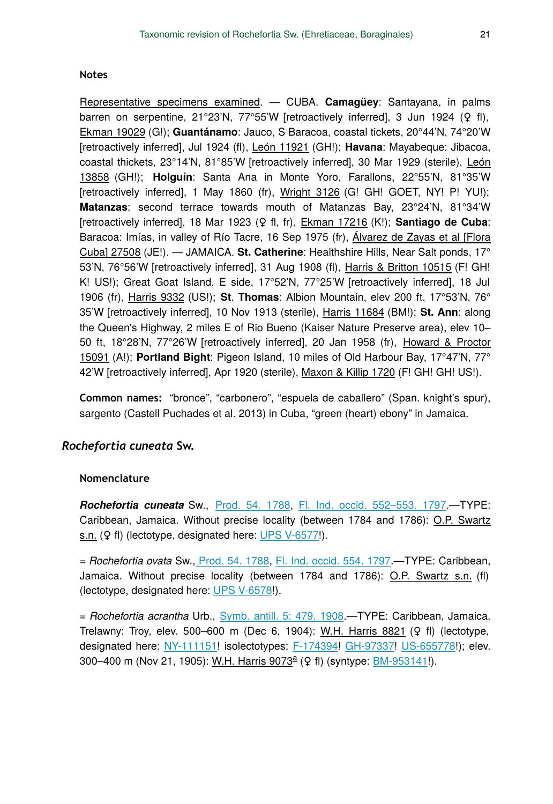#### **Notes**

Representative specimens examined. — CUBA. **Camagüey**: Santayana, in palms barren on serpentine, 21°23'N, 77°55'W [retroactively inferred], 3 Jun 1924 (Q fl), Ekman 19029 (G!); **Guantánamo**: Jauco, S Baracoa, coastal tickets, 20°44'N, 74°20'W [retroactively inferred], Jul 1924 (fl), León 11921 (GH!); **Havana**: Mayabeque: Jibacoa, coastal thickets, 23°14'N, 81°85'W [retroactively inferred], 30 Mar 1929 (sterile), León 13858 (GH!); **Holguín**: Santa Ana in Monte Yoro, Farallons, 22°55'N, 81°35'W [retroactively inferred], 1 May 1860 (fr), Wright 3126 (G! GH! GOET, NY! P! YU!); **Matanzas**: second terrace towards mouth of Matanzas Bay, 23°24'N, 81°34'W [retroactively inferred], 18 Mar 1923 (♀ fl, fr), Ekman 17216 (K!); **Santiago de Cuba**: Baracoa: Imías, in valley of Río Tacre, 16 Sep 1975 (fr), Álvarez de Zayas et al [Flora Cuba] 27508 (JE!). — JAMAICA. **St. Catherine**: Healthshire Hills, Near Salt ponds, 17° 53'N, 76°56'W [retroactively inferred], 31 Aug 1908 (fl), Harris & Britton 10515 (F! GH! K! US!); Great Goat Island, E side, 17°52'N, 77°25'W [retroactively inferred], 18 Jul 1906 (fr), Harris 9332 (US!); **St**. **Thomas**: Albion Mountain, elev 200 ft, 17°53'N, 76° 35'W [retroactively inferred], 10 Nov 1913 (sterile), Harris 11684 (BM!); **St. Ann**: along the Queen's Highway, 2 miles E of Rio Bueno (Kaiser Nature Preserve area), elev 10– 50 ft, 18°28'N, 77°26'W [retroactively inferred], 20 Jan 1958 (fr), Howard & Proctor 15091 (A!); **Portland Bight**: Pigeon Island, 10 miles of Old Harbour Bay, 17°47'N, 77° 42'W [retroactively inferred], Apr 1920 (sterile), Maxon & Killip 1720 (F! GH! GH! US!).

**Common names:** "bronce", "carbonero", "espuela de caballero" (Span. knight's spur), sargento (Castell Puchades et al. 2013) in Cuba, "green (heart) ebony" in Jamaica.

# *Rochefortia cuneata* **Sw.**

### **Nomenclature**

*Rochefortia cuneata* Sw., [Prod. 54. 1788,](http://www.biodiversitylibrary.org/item/23300#page/70/mode/1up) [Fl. Ind. occid. 552–553. 1797.](http://www.biodiversitylibrary.org/item/23641#page/570/mode/1up)—TYPE: Caribbean, Jamaica. Without precise locality (between 1784 and 1786): O.P. Swartz s.n. (9 fl) (lectotype, designated here: [UPS V-6577!](https://zenodo.org/record/28049)).

= *Rochefortia ovata* Sw., [Prod. 54. 1788](http://www.biodiversitylibrary.org/item/23300#page/70/mode/1up), [Fl. Ind. occid. 554. 1797.](http://www.biodiversitylibrary.org/item/23641#page/572/mode/1up)—TYPE: Caribbean, Jamaica. Without precise locality (between 1784 and 1786): O.P. Swartz s.n. (fl) (lectotype, designated here: [UPS V-6578](https://zenodo.org/record/28052)!).

= *Rochefortia acrantha* Urb., [Symb. antill. 5: 479. 1908.](http://www.biodiversitylibrary.org/item/3755#page/484/mode/1up)—TYPE: Caribbean, Jamaica. Trelawny: Troy, elev. 500–600 m (Dec 6, 1904): W.H. Harris 8821 (♀ fl) (lectotype, designated here: [NY-111151!](http://sweetgum.nybg.org/vh/specimen.php?irn=180813) isolectotypes: [F-174394](http://plants.jstor.org/stable/10.5555/al.ap.specimen.f0052555f)! [GH-97337!](http://kiki.huh.harvard.edu/databases/specimen_search.php?mode=details&id=13449) [US-655778](http://collections.mnh.si.edu/search/botany/search.php?action=10&height=4996&width=3748&irn=10056496)!); elev. 300–400 m (Nov 21, 1905): W.H. Harris 9073<sup>a</sup> (Q fl) (syntype: [BM-953141](http://plants.jstor.org/stable/10.5555/al.ap.specimen.bm000953141)!).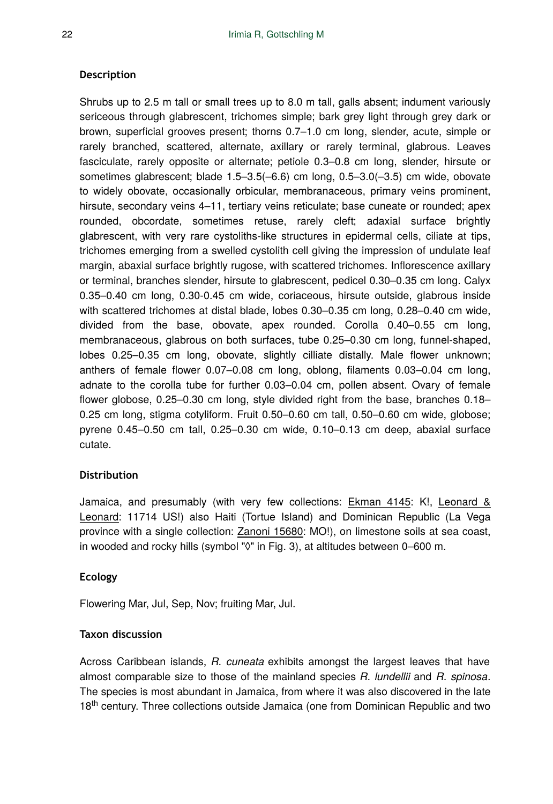# **Description**

Shrubs up to 2.5 m tall or small trees up to 8.0 m tall, galls absent; indument variously sericeous through glabrescent, trichomes simple; bark grey light through grey dark or brown, superficial grooves present; thorns 0.7–1.0 cm long, slender, acute, simple or rarely branched, scattered, alternate, axillary or rarely terminal, glabrous. Leaves fasciculate, rarely opposite or alternate; petiole 0.3–0.8 cm long, slender, hirsute or sometimes glabrescent; blade 1.5–3.5(–6.6) cm long, 0.5–3.0(–3.5) cm wide, obovate to widely obovate, occasionally orbicular, membranaceous, primary veins prominent, hirsute, secondary veins 4–11, tertiary veins reticulate; base cuneate or rounded; apex rounded, obcordate, sometimes retuse, rarely cleft; adaxial surface brightly glabrescent, with very rare cystoliths-like structures in epidermal cells, ciliate at tips, trichomes emerging from a swelled cystolith cell giving the impression of undulate leaf margin, abaxial surface brightly rugose, with scattered trichomes. Inflorescence axillary or terminal, branches slender, hirsute to glabrescent, pedicel 0.30–0.35 cm long. Calyx 0.35–0.40 cm long, 0.30-0.45 cm wide, coriaceous, hirsute outside, glabrous inside with scattered trichomes at distal blade, lobes 0.30–0.35 cm long, 0.28–0.40 cm wide, divided from the base, obovate, apex rounded. Corolla 0.40–0.55 cm long, membranaceous, glabrous on both surfaces, tube 0.25–0.30 cm long, funnel-shaped, lobes 0.25–0.35 cm long, obovate, slightly cilliate distally. Male flower unknown; anthers of female flower 0.07–0.08 cm long, oblong, filaments 0.03–0.04 cm long, adnate to the corolla tube for further 0.03–0.04 cm, pollen absent. Ovary of female flower globose, 0.25–0.30 cm long, style divided right from the base, branches 0.18– 0.25 cm long, stigma cotyliform. Fruit 0.50–0.60 cm tall, 0.50–0.60 cm wide, globose; pyrene 0.45–0.50 cm tall, 0.25–0.30 cm wide, 0.10–0.13 cm deep, abaxial surface cutate.

# **Distribution**

Jamaica, and presumably (with very few collections: Ekman 4145: K!, Leonard & Leonard: 11714 US!) also Haiti (Tortue Island) and Dominican Republic (La Vega province with a single collection: Zanoni 15680: MO!), on limestone soils at sea coast, in wooded and rocky hills (symbol "◊" in Fig. 3), at altitudes between 0–600 m.

### **Ecology**

Flowering Mar, Jul, Sep, Nov; fruiting Mar, Jul.

### **Taxon discussion**

Across Caribbean islands, *R. cuneata* exhibits amongst the largest leaves that have almost comparable size to those of the mainland species *R. lundellii* and *R. spinosa*. The species is most abundant in Jamaica, from where it was also discovered in the late 18<sup>th</sup> century. Three collections outside Jamaica (one from Dominican Republic and two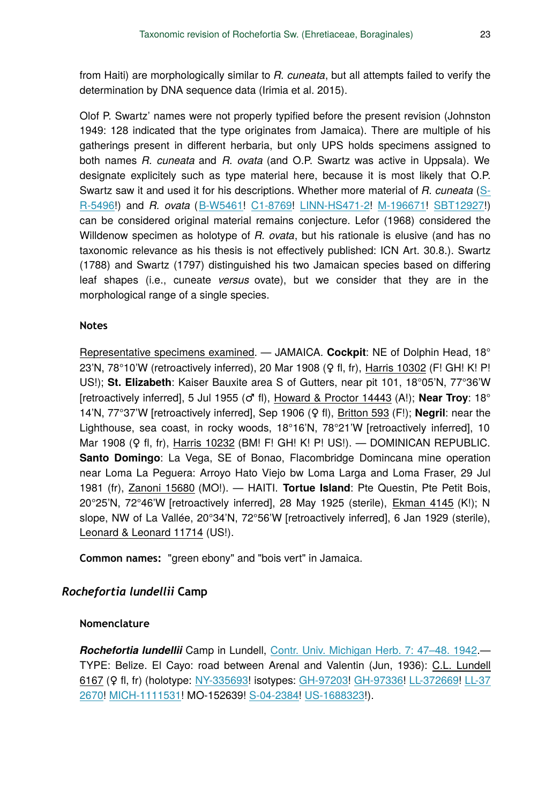from Haiti) are morphologically similar to *R. cuneata*, but all attempts failed to verify the determination by DNA sequence data (Irimia et al. 2015).

Olof P. Swartz' names were not properly typified before the present revision (Johnston 1949: 128 indicated that the type originates from Jamaica). There are multiple of his gatherings present in different herbaria, but only UPS holds specimens assigned to both names *R. cuneata* and *R. ovata* (and O.P. Swartz was active in Uppsala). We designate explicitely such as type material here, because it is most likely that O.P. Swartz saw it and used it for his descriptions. Whether more material of *R. cuneata* [\(S-](http://andor.nrm.se/kryptos/fbo/kryptobase/large/S-R-005001/S-R-5496.jpg)[R-5496!](http://andor.nrm.se/kryptos/fbo/kryptobase/large/S-R-005001/S-R-5496.jpg)) and *R. ovata* ([B-W5461!](http://plants.jstor.org/stable/10.5555/al.ap.specimen.b%20-w%2005461%20-01%200) [C1-8769](http://plants.jstor.org/stable/10.5555/al.ap.specimen.c10008769)! [LINN-HS471-2!](http://plants.jstor.org/stable/10.5555/al.ap.specimen.linn-hs471-2) [M-196671](http://plants.jstor.org/stable/10.5555/al.ap.specimen.m0198671)! [SBT12927!](http://plants.jstor.org/stable/10.5555/al.ap.specimen.sbt12927)) can be considered original material remains conjecture. Lefor (1968) considered the Willdenow specimen as holotype of *R. ovata*, but his rationale is elusive (and has no taxonomic relevance as his thesis is not effectively published: ICN Art. 30.8.). Swartz (1788) and Swartz (1797) distinguished his two Jamaican species based on differing leaf shapes (i.e., cuneate *versus* ovate), but we consider that they are in the morphological range of a single species.

### **Notes**

Representative specimens examined. — JAMAICA. **Cockpit**: NE of Dolphin Head, 18° 23'N, 78°10'W (retroactively inferred), 20 Mar 1908 (♀ fl, fr), Harris 10302 (F! GH! K! P! US!); **St. Elizabeth**: Kaiser Bauxite area S of Gutters, near pit 101, 18°05'N, 77°36'W [retroactively inferred], 5 Jul 1955 (♂ fl), Howard & Proctor 14443 (A!); **Near Troy**: 18° 14'N, 77°37'W [retroactively inferred], Sep 1906 (♀ fl), Britton 593 (F!); **Negril**: near the Lighthouse, sea coast, in rocky woods, 18°16'N, 78°21'W [retroactively inferred], 10 Mar 1908 (♀ fl, fr), Harris 10232 (BM! F! GH! K! P! US!). — DOMINICAN REPUBLIC. **Santo Domingo**: La Vega, SE of Bonao, Flacombridge Domincana mine operation near Loma La Peguera: Arroyo Hato Viejo bw Loma Larga and Loma Fraser, 29 Jul 1981 (fr), Zanoni 15680 (MO!). — HAITI. **Tortue Island**: Pte Questin, Pte Petit Bois, 20°25'N, 72°46'W [retroactively inferred], 28 May 1925 (sterile), Ekman 4145 (K!); N slope, NW of La Vallée, 20°34'N, 72°56'W [retroactively inferred], 6 Jan 1929 (sterile), Leonard & Leonard 11714 (US!).

**Common names:** "green ebony" and "bois vert" in Jamaica.

# *Rochefortia lundellii* **Camp**

# **Nomenclature**

*Rochefortia lundellii* Camp in Lundell, [Contr. Univ. Michigan Herb. 7: 47–48. 1942.](http://www.biodiversitylibrary.org/item/46239#page/51/mode/1up)— TYPE: Belize. El Cayo: road between Arenal and Valentin (Jun, 1936): C.L. Lundell 6167 (♀ fl, fr) (holotype: [NY-335693](http://sweetgum.nybg.org/vh/specimen.php?irn=231184)! isotypes: [GH-97203!](http://kiki.huh.harvard.edu/databases/specimen_search.php?mode=details&id=47205) [GH-97336](http://kiki.huh.harvard.edu/databases/specimen_search.php?mode=details&id=23725)! [LL-372669](http://plants.jstor.org/stable/10.5555/al.ap.specimen.ll00372669)! [LL-37](http://plants.jstor.org/stable/10.5555/al.ap.specimen.ll00372670) [2670](http://plants.jstor.org/stable/10.5555/al.ap.specimen.ll00372670)! [MICH-1111531](http://quod.lib.umich.edu/h/herb2ic/x-mich1111531/MICH1111531.TIF?from=index;lasttype=boolean;lastview=thumbnail;resnum=1;size=20;start=1;subview=detail;view=entry;rgn1=ic_all;q1=rochefortia)! MO-152639! [S-04-2384!](http://andor.nrm.se/kryptos/fbo/kryptobase/large/S04-002001/S04-2384.jpg) [US-1688323](http://collections.mnh.si.edu/search/botany/search.php?action=10&height=5024&width=3808&irn=10095491)!).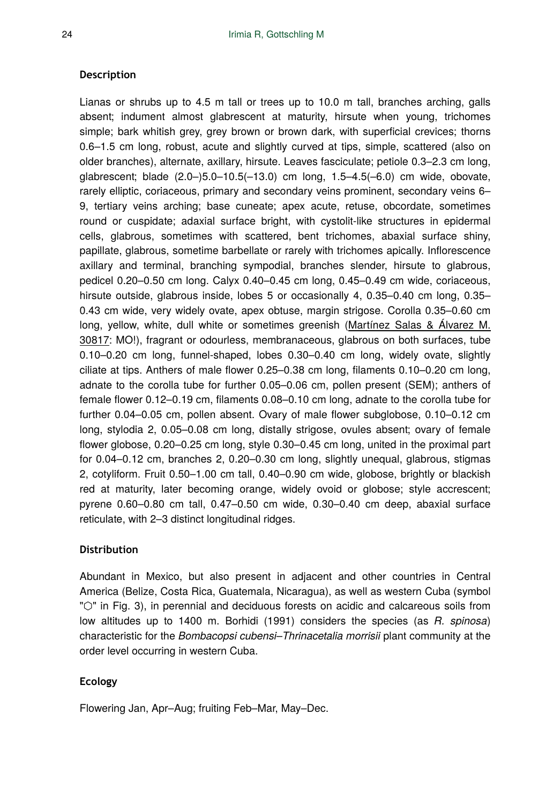# **Description**

Lianas or shrubs up to 4.5 m tall or trees up to 10.0 m tall, branches arching, galls absent; indument almost glabrescent at maturity, hirsute when young, trichomes simple; bark whitish grey, grey brown or brown dark, with superficial crevices; thorns 0.6–1.5 cm long, robust, acute and slightly curved at tips, simple, scattered (also on older branches), alternate, axillary, hirsute. Leaves fasciculate; petiole 0.3–2.3 cm long, glabrescent; blade (2.0–)5.0–10.5(–13.0) cm long, 1.5–4.5(–6.0) cm wide, obovate, rarely elliptic, coriaceous, primary and secondary veins prominent, secondary veins 6– 9, tertiary veins arching; base cuneate; apex acute, retuse, obcordate, sometimes round or cuspidate; adaxial surface bright, with cystolit-like structures in epidermal cells, glabrous, sometimes with scattered, bent trichomes, abaxial surface shiny, papillate, glabrous, sometime barbellate or rarely with trichomes apically. Inflorescence axillary and terminal, branching sympodial, branches slender, hirsute to glabrous, pedicel 0.20–0.50 cm long. Calyx 0.40–0.45 cm long, 0.45–0.49 cm wide, coriaceous, hirsute outside, glabrous inside, lobes 5 or occasionally 4, 0.35–0.40 cm long, 0.35– 0.43 cm wide, very widely ovate, apex obtuse, margin strigose. Corolla 0.35–0.60 cm long, yellow, white, dull white or sometimes greenish (Martínez Salas & Álvarez M. 30817: MO!), fragrant or odourless, membranaceous, glabrous on both surfaces, tube 0.10–0.20 cm long, funnel-shaped, lobes 0.30–0.40 cm long, widely ovate, slightly ciliate at tips. Anthers of male flower 0.25–0.38 cm long, filaments 0.10–0.20 cm long, adnate to the corolla tube for further 0.05–0.06 cm, pollen present (SEM); anthers of female flower 0.12–0.19 cm, filaments 0.08–0.10 cm long, adnate to the corolla tube for further 0.04–0.05 cm, pollen absent. Ovary of male flower subglobose, 0.10–0.12 cm long, stylodia 2, 0.05–0.08 cm long, distally strigose, ovules absent; ovary of female flower globose, 0.20–0.25 cm long, style 0.30–0.45 cm long, united in the proximal part for 0.04–0.12 cm, branches 2, 0.20–0.30 cm long, slightly unequal, glabrous, stigmas 2, cotyliform. Fruit 0.50–1.00 cm tall, 0.40–0.90 cm wide, globose, brightly or blackish red at maturity, later becoming orange, widely ovoid or globose; style accrescent; pyrene 0.60–0.80 cm tall, 0.47–0.50 cm wide, 0.30–0.40 cm deep, abaxial surface reticulate, with 2–3 distinct longitudinal ridges.

# **Distribution**

Abundant in Mexico, but also present in adjacent and other countries in Central America (Belize, Costa Rica, Guatemala, Nicaragua), as well as western Cuba (symbol " $\degree$ " in Fig. 3), in perennial and deciduous forests on acidic and calcareous soils from low altitudes up to 1400 m. Borhidi (1991) considers the species (as *R. spinosa*) characteristic for the *Bombacopsi cubensi*–*Thrinacetalia morrisii* plant community at the order level occurring in western Cuba.

# **Ecology**

Flowering Jan, Apr–Aug; fruiting Feb–Mar, May–Dec.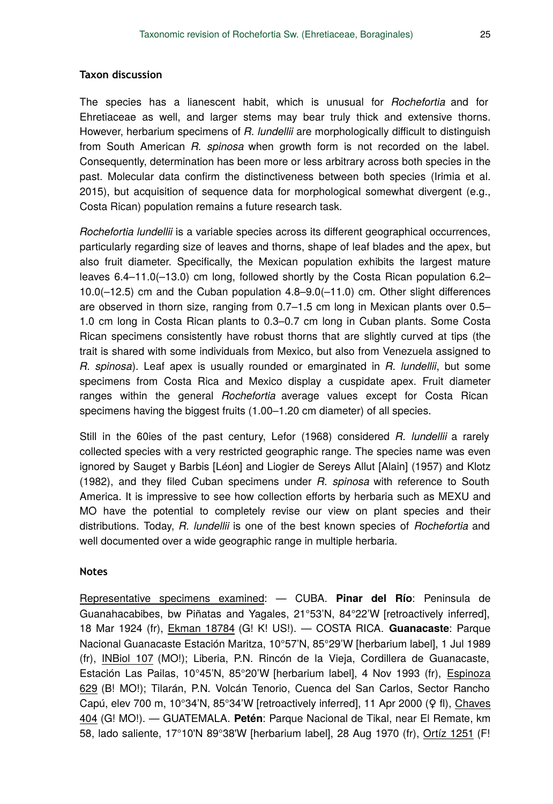#### **Taxon discussion**

The species has a lianescent habit, which is unusual for *Rochefortia* and for Ehretiaceae as well, and larger stems may bear truly thick and extensive thorns. However, herbarium specimens of *R. lundellii* are morphologically difficult to distinguish from South American *R. spinosa* when growth form is not recorded on the label. Consequently, determination has been more or less arbitrary across both species in the past. Molecular data confirm the distinctiveness between both species (Irimia et al. 2015), but acquisition of sequence data for morphological somewhat divergent (e.g., Costa Rican) population remains a future research task.

*Rochefortia lundellii* is a variable species across its different geographical occurrences, particularly regarding size of leaves and thorns, shape of leaf blades and the apex, but also fruit diameter. Specifically, the Mexican population exhibits the largest mature leaves 6.4–11.0(–13.0) cm long, followed shortly by the Costa Rican population 6.2– 10.0(–12.5) cm and the Cuban population 4.8–9.0(–11.0) cm. Other slight differences are observed in thorn size, ranging from 0.7–1.5 cm long in Mexican plants over 0.5– 1.0 cm long in Costa Rican plants to 0.3–0.7 cm long in Cuban plants. Some Costa Rican specimens consistently have robust thorns that are slightly curved at tips (the trait is shared with some individuals from Mexico, but also from Venezuela assigned to *R. spinosa*). Leaf apex is usually rounded or emarginated in *R. lundellii*, but some specimens from Costa Rica and Mexico display a cuspidate apex. Fruit diameter ranges within the general *Rochefortia* average values except for Costa Rican specimens having the biggest fruits (1.00–1.20 cm diameter) of all species.

Still in the 60ies of the past century, Lefor (1968) considered *R. lundellii* a rarely collected species with a very restricted geographic range. The species name was even ignored by Sauget y Barbis [Léon] and Liogier de Sereys Allut [Alain] (1957) and Klotz (1982), and they filed Cuban specimens under *R. spinosa* with reference to South America. It is impressive to see how collection efforts by herbaria such as MEXU and MO have the potential to completely revise our view on plant species and their distributions. Today, *R. lundellii* is one of the best known species of *Rochefortia* and well documented over a wide geographic range in multiple herbaria.

### **Notes**

Representative specimens examined: — CUBA. **Pinar del Río**: Peninsula de Guanahacabibes, bw Piñatas and Yagales, 21°53'N, 84°22'W [retroactively inferred], 18 Mar 1924 (fr), Ekman 18784 (G! K! US!). — COSTA RICA. **Guanacaste**: Parque Nacional Guanacaste Estación Maritza, 10°57'N, 85°29'W [herbarium label], 1 Jul 1989 (fr), INBiol 107 (MO!); Liberia, P.N. Rincón de la Vieja, Cordillera de Guanacaste, Estación Las Pailas, 10°45'N, 85°20'W [herbarium label], 4 Nov 1993 (fr), Espinoza 629 (B! MO!); Tilarán, P.N. Volcán Tenorio, Cuenca del San Carlos, Sector Rancho Capú, elev 700 m, 10°34'N, 85°34'W [retroactively inferred], 11 Apr 2000 (♀ fl), Chaves 404 (G! MO!). — GUATEMALA. **Petén**: Parque Nacional de Tikal, near El Remate, km 58, lado saliente, 17°10'N 89°38'W [herbarium label], 28 Aug 1970 (fr), Ortíz 1251 (F!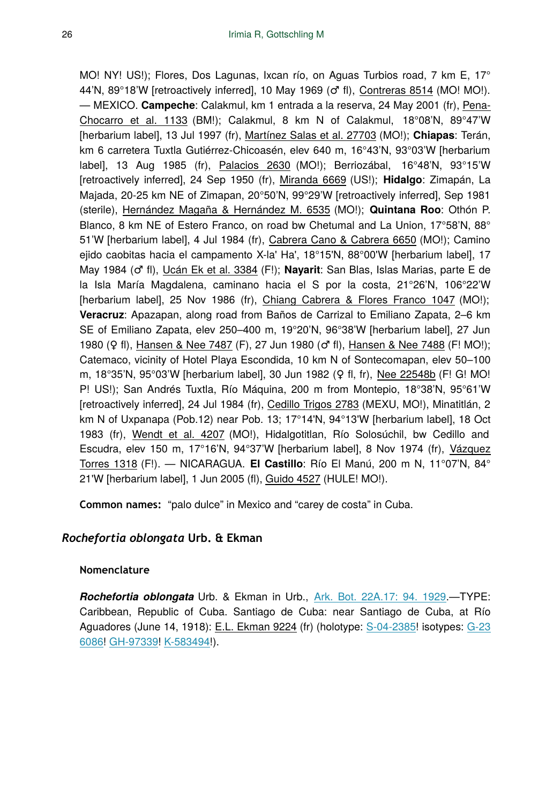MO! NY! US!); Flores, Dos Lagunas, Ixcan río, on Aguas Turbios road, 7 km E, 17° 44'N, 89°18'W [retroactively inferred], 10 May 1969 (♂ fl), Contreras 8514 (MO! MO!). — MEXICO. **Campeche**: Calakmul, km 1 entrada a la reserva, 24 May 2001 (fr), Pena-Chocarro et al. 1133 (BM!); Calakmul, 8 km N of Calakmul, 18°08'N, 89°47'W [herbarium label], 13 Jul 1997 (fr), Martínez Salas et al. 27703 (MO!); **Chiapas**: Terán, km 6 carretera Tuxtla Gutiérrez-Chicoasén, elev 640 m, 16°43'N, 93°03'W [herbarium label], 13 Aug 1985 (fr), Palacios 2630 (MO!); Berriozábal, 16°48'N, 93°15'W [retroactively inferred], 24 Sep 1950 (fr), Miranda 6669 (US!); **Hidalgo**: Zimapán, La Majada, 20-25 km NE of Zimapan, 20°50'N, 99°29'W [retroactively inferred], Sep 1981 (sterile), Hernández Magaña & Hernández M. 6535 (MO!); **Quintana Roo**: Othón P. Blanco, 8 km NE of Estero Franco, on road bw Chetumal and La Union, 17°58'N, 88° 51'W [herbarium label], 4 Jul 1984 (fr), Cabrera Cano & Cabrera 6650 (MO!); Camino ejido caobitas hacia el campamento X-la' Ha', 18°15'N, 88°00'W [herbarium label], 17 May 1984 (♂ fl), Ucán Ek et al. 3384 (F!); **Nayarit**: San Blas, Islas Marias, parte E de la Isla María Magdalena, caminano hacia el S por la costa, 21°26'N, 106°22'W [herbarium label], 25 Nov 1986 (fr), Chiang Cabrera & Flores Franco 1047 (MO!); **Veracruz**: Apazapan, along road from Baños de Carrizal to Emiliano Zapata, 2–6 km SE of Emiliano Zapata, elev 250–400 m, 19°20'N, 96°38'W [herbarium label], 27 Jun 1980 (♀ fl), Hansen & Nee 7487 (F), 27 Jun 1980 (♂ fl), Hansen & Nee 7488 (F! MO!); Catemaco, vicinity of Hotel Playa Escondida, 10 km N of Sontecomapan, elev 50–100 m, 18°35'N, 95°03'W [herbarium label], 30 Jun 1982 (♀ fl, fr), Nee 22548b (F! G! MO! P! US!); San Andrés Tuxtla, Río Máquina, 200 m from Montepio, 18°38'N, 95°61'W [retroactively inferred], 24 Jul 1984 (fr), Cedillo Trigos 2783 (MEXU, MO!), Minatitlán, 2 km N of Uxpanapa (Pob.12) near Pob. 13; 17°14'N, 94°13'W [herbarium label], 18 Oct 1983 (fr), Wendt et al. 4207 (MO!), Hidalgotitlan, Río Solosúchil, bw Cedillo and Escudra, elev 150 m, 17°16'N, 94°37'W [herbarium label], 8 Nov 1974 (fr), Vázquez Torres 1318 (F!). — NICARAGUA. **El Castillo**: Río El Manú, 200 m N, 11°07'N, 84° 21'W [herbarium label], 1 Jun 2005 (fl), Guido 4527 (HULE! MO!).

**Common names:** "palo dulce" in Mexico and "carey de costa" in Cuba.

# *Rochefortia oblongata* **Urb. & Ekman**

### **Nomenclature**

*Rochefortia oblongata* Urb. & Ekman in Urb., [Ark. Bot. 22A.17: 94. 1929.](https://zenodo.org/record/22780)—TYPE: Caribbean, Republic of Cuba. Santiago de Cuba: near Santiago de Cuba, at Río Aguadores (June 14, 1918): E.L. Ekman 9224 (fr) (holotype: [S-04-2385](http://andor.nrm.se/kryptos/fbo/kryptobase/large/S04-002001/S04-2385.jpg)! isotypes: [G-23](http://www.ville-ge.ch/musinfo/bd/cjb/chg/adetail.php?id=182901&base=img&lang=en) [6086](http://www.ville-ge.ch/musinfo/bd/cjb/chg/adetail.php?id=182901&base=img&lang=en)! [GH-97339!](http://kiki.huh.harvard.edu/databases/specimen_search.php?mode=details&id=54781) [K-583494!](http://www.kew.org/herbcatimg/238757.jpg)).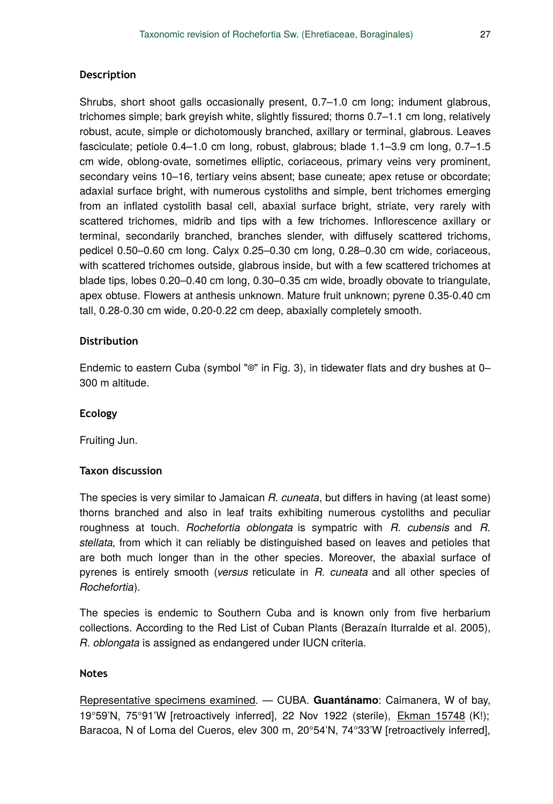# **Description**

Shrubs, short shoot galls occasionally present, 0.7–1.0 cm long; indument glabrous, trichomes simple; bark greyish white, slightly fissured; thorns 0.7–1.1 cm long, relatively robust, acute, simple or dichotomously branched, axillary or terminal, glabrous. Leaves fasciculate; petiole 0.4–1.0 cm long, robust, glabrous; blade 1.1–3.9 cm long, 0.7–1.5 cm wide, oblong-ovate, sometimes elliptic, coriaceous, primary veins very prominent, secondary veins 10–16, tertiary veins absent; base cuneate; apex retuse or obcordate; adaxial surface bright, with numerous cystoliths and simple, bent trichomes emerging from an inflated cystolith basal cell, abaxial surface bright, striate, very rarely with scattered trichomes, midrib and tips with a few trichomes. Inflorescence axillary or terminal, secondarily branched, branches slender, with diffusely scattered trichoms, pedicel 0.50–0.60 cm long. Calyx 0.25–0.30 cm long, 0.28–0.30 cm wide, coriaceous, with scattered trichomes outside, glabrous inside, but with a few scattered trichomes at blade tips, lobes 0.20–0.40 cm long, 0.30–0.35 cm wide, broadly obovate to triangulate, apex obtuse. Flowers at anthesis unknown. Mature fruit unknown; pyrene 0.35-0.40 cm tall, 0.28-0.30 cm wide, 0.20-0.22 cm deep, abaxially completely smooth.

# **Distribution**

Endemic to eastern Cuba (symbol "@" in Fig. 3), in tidewater flats and dry bushes at 0-300 m altitude.

# **Ecology**

Fruiting Jun.

### **Taxon discussion**

The species is very similar to Jamaican *R. cuneata*, but differs in having (at least some) thorns branched and also in leaf traits exhibiting numerous cystoliths and peculiar roughness at touch. *Rochefortia oblongata* is sympatric with *R. cubensis* and *R. stellata,* from which it can reliably be distinguished based on leaves and petioles that are both much longer than in the other species. Moreover, the abaxial surface of pyrenes is entirely smooth (*versus* reticulate in *R. cuneata* and all other species of *Rochefortia*).

The species is endemic to Southern Cuba and is known only from five herbarium collections. According to the Red List of Cuban Plants (Berazaín Iturralde et al. 2005), *R. oblongata* is assigned as endangered under IUCN criteria.

### **Notes**

Representative specimens examined. — CUBA. **Guantánamo**: Caimanera, W of bay, 19°59'N, 75°91'W [retroactively inferred], 22 Nov 1922 (sterile), Ekman 15748 (K!); Baracoa, N of Loma del Cueros, elev 300 m, 20°54'N, 74°33'W [retroactively inferred],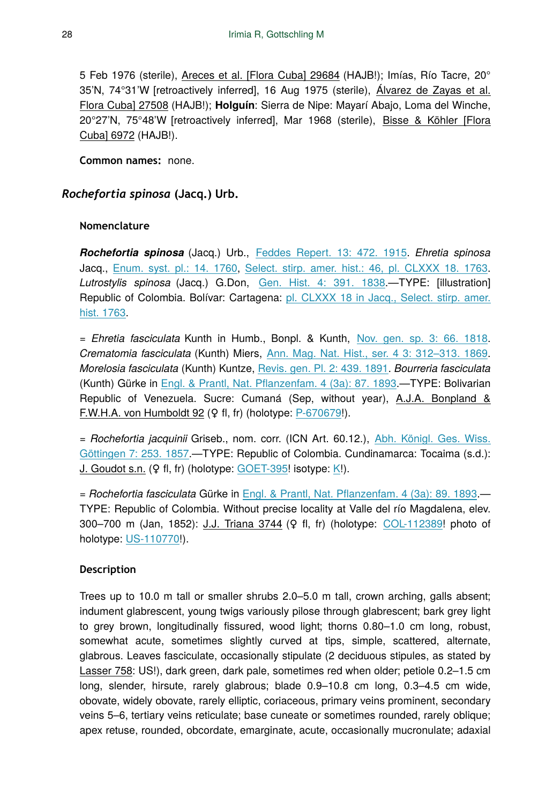5 Feb 1976 (sterile), Areces et al. [Flora Cuba] 29684 (HAJB!); Imías, Río Tacre, 20° 35'N, 74°31'W [retroactively inferred], 16 Aug 1975 (sterile), Álvarez de Zayas et al. Flora Cuba] 27508 (HAJB!); **Holguín**: Sierra de Nipe: Mayarí Abajo, Loma del Winche, 20°27'N, 75°48'W [retroactively inferred], Mar 1968 (sterile), Bisse & Köhler [Flora Cuba] 6972 (HAJB!).

**Common names:** none.

# *Rochefortia spinosa* **(Jacq.) Urb.**

# **Nomenclature**

*Rochefortia spinosa* (Jacq.) Urb., [Feddes Repert. 13: 472. 1915](http://onlinelibrary.wiley.com/doi/10.1002/fedr.19150133002/abstract). *Ehretia spinosa* Jacq., [Enum. syst. pl.: 14. 1760,](http://www.biodiversitylibrary.org/item/179917#page/22/mode/1up) [Select. stirp. amer. hist.: 46, pl. CLXXX 18. 1763.](http://www.biodiversitylibrary.org/item/10331#page/71/mode/1up) *Lutrostylis spinosa* (Jacq.) G.Don, [Gen. Hist. 4: 391. 1838](http://www.biodiversitylibrary.org/item/9906#page/400/mode/1up).—TYPE: [illustration] Republic of Colombia. Bolívar: Cartagena: [pl. CLXXX 18 in Jacq., Select. stirp. amer.](http://www.biodiversitylibrary.org/item/10332#page/366/mode/1up) [hist. 1763](http://www.biodiversitylibrary.org/item/10332#page/366/mode/1up).

= *Ehretia fasciculata* Kunth in Humb., Bonpl. & Kunth, [Nov. gen. sp. 3: 66. 1818.](http://www.biodiversitylibrary.org/item/11235#page/71/mode/1up) *Crematomia fasciculata* (Kunth) Miers, [Ann. Mag. Nat. Hist., ser. 4 3: 312–313. 1869.](http://www.biodiversitylibrary.org/item/61863#page/326/mode/1up) *Morelosia fasciculata* (Kunth) Kuntze, [Revis. gen. Pl. 2: 439. 1891.](http://www.biodiversitylibrary.org/item/7554#page/65/mode/1up) *Bourreria fasciculata* (Kunth) Gürke in Engl. & Prantl, Nat. Pfl[anzenfam. 4 \(3a\): 87. 1893.](http://www.biodiversitylibrary.org/item/100244#page/101/mode/1up)—TYPE: Bolivarian Republic of Venezuela. Sucre: Cumaná (Sep, without year), A.J.A. Bonpland & F.W.H.A. von Humboldt 92 (♀ fl, fr) (holotype: [P-670679!](http://science.mnhn.fr/institution/mnhn/collection/p/item/p00670679)).

= *Rochefortia jacquinii* Griseb., nom. corr. (ICN Art. 60.12.), [Abh. Königl. Ges. Wiss.](http://www.biodiversitylibrary.org/item/109580#page/301/mode/1up) [Göttingen 7: 253. 1857.](http://www.biodiversitylibrary.org/item/109580#page/301/mode/1up)—TYPE: Republic of Colombia. Cundinamarca: Tocaima (s.d.): J. Goudot s.n. (♀ fl, fr) (holotype: [GOET-395!](http://plants.jstor.org/stable/history/10.5555/al.ap.specimen.goet000395) isotype: [K](http://https:zenodo.org/record/28048)!).

= *Rochefortia fasciculata* Gürke in Engl. & Prantl, Nat. Pfl[anzenfam. 4 \(3a\): 89. 1893.](http://www.biodiversitylibrary.org/item/100244#page/103/mode/1up)— TYPE: Republic of Colombia. Without precise locality at Valle del río Magdalena, elev. 300–700 m (Jan, 1852): J.J. Triana 3744 (♀ fl, fr) (holotype: [COL-112389!](http://plants.jstor.org/stable/10.5555/al.ap.specimen.col000112389) photo of holotype: [US-110770!](http://collections.mnh.si.edu/search/botany/?ti=3)).

# **Description**

Trees up to 10.0 m tall or smaller shrubs 2.0–5.0 m tall, crown arching, galls absent; indument glabrescent, young twigs variously pilose through glabrescent; bark grey light to grey brown, longitudinally fissured, wood light; thorns 0.80–1.0 cm long, robust, somewhat acute, sometimes slightly curved at tips, simple, scattered, alternate, glabrous. Leaves fasciculate, occasionally stipulate (2 deciduous stipules, as stated by Lasser 758: US!), dark green, dark pale, sometimes red when older; petiole 0.2–1.5 cm long, slender, hirsute, rarely glabrous; blade 0.9–10.8 cm long, 0.3–4.5 cm wide, obovate, widely obovate, rarely elliptic, coriaceous, primary veins prominent, secondary veins 5–6, tertiary veins reticulate; base cuneate or sometimes rounded, rarely oblique; apex retuse, rounded, obcordate, emarginate, acute, occasionally mucronulate; adaxial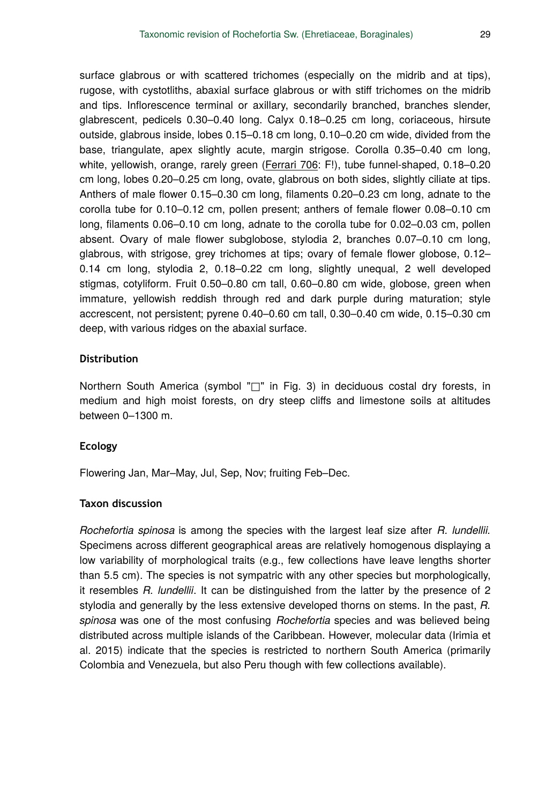surface glabrous or with scattered trichomes (especially on the midrib and at tips), rugose, with cystotliths, abaxial surface glabrous or with stiff trichomes on the midrib and tips. Inflorescence terminal or axillary, secondarily branched, branches slender, glabrescent, pedicels 0.30–0.40 long. Calyx 0.18–0.25 cm long, coriaceous, hirsute outside, glabrous inside, lobes 0.15–0.18 cm long, 0.10–0.20 cm wide, divided from the base, triangulate, apex slightly acute, margin strigose. Corolla 0.35–0.40 cm long, white, yellowish, orange, rarely green (Ferrari 706: F!), tube funnel-shaped, 0.18–0.20 cm long, lobes 0.20–0.25 cm long, ovate, glabrous on both sides, slightly ciliate at tips. Anthers of male flower 0.15–0.30 cm long, filaments 0.20–0.23 cm long, adnate to the corolla tube for 0.10–0.12 cm, pollen present; anthers of female flower 0.08–0.10 cm long, filaments 0.06–0.10 cm long, adnate to the corolla tube for 0.02–0.03 cm, pollen absent. Ovary of male flower subglobose, stylodia 2, branches 0.07–0.10 cm long, glabrous, with strigose, grey trichomes at tips; ovary of female flower globose, 0.12– 0.14 cm long, stylodia 2, 0.18–0.22 cm long, slightly unequal, 2 well developed stigmas, cotyliform. Fruit 0.50–0.80 cm tall, 0.60–0.80 cm wide, globose, green when immature, yellowish reddish through red and dark purple during maturation; style accrescent, not persistent; pyrene 0.40–0.60 cm tall, 0.30–0.40 cm wide, 0.15–0.30 cm deep, with various ridges on the abaxial surface.

#### **Distribution**

Northern South America (symbol  $\top$ " in Fig. 3) in deciduous costal dry forests, in medium and high moist forests, on dry steep cliffs and limestone soils at altitudes between 0–1300 m.

#### **Ecology**

Flowering Jan, Mar–May, Jul, Sep, Nov; fruiting Feb–Dec.

#### **Taxon discussion**

*Rochefortia spinosa* is among the species with the largest leaf size after *R. lundellii.* Specimens across different geographical areas are relatively homogenous displaying a low variability of morphological traits (e.g., few collections have leave lengths shorter than 5.5 cm). The species is not sympatric with any other species but morphologically, it resembles *R. lundellii*. It can be distinguished from the latter by the presence of 2 stylodia and generally by the less extensive developed thorns on stems. In the past, *R. spinosa* was one of the most confusing *Rochefortia* species and was believed being distributed across multiple islands of the Caribbean. However, molecular data (Irimia et al. 2015) indicate that the species is restricted to northern South America (primarily Colombia and Venezuela, but also Peru though with few collections available).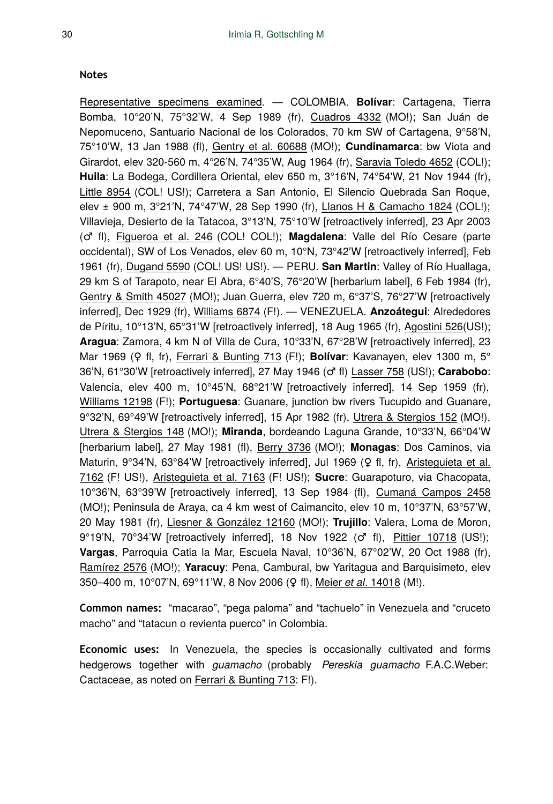#### **Notes**

Representative specimens examined. — COLOMBIA. **Bolívar**: Cartagena, Tierra Bomba, 10°20'N, 75°32'W, 4 Sep 1989 (fr), Cuadros 4332 (MO!); San Juán de Nepomuceno, Santuario Nacional de los Colorados, 70 km SW of Cartagena, 9°58'N, 75°10'W, 13 Jan 1988 (fl), Gentry et al. 60688 (MO!); **Cundinamarca**: bw Viota and Girardot, elev 320-560 m, 4°26'N, 74°35'W, Aug 1964 (fr), Saravia Toledo 4652 (COL!); **Huila**: La Bodega, Cordillera Oriental, elev 650 m, 3°16'N, 74°54'W, 21 Nov 1944 (fr), Little 8954 (COL! US!); Carretera a San Antonio, El Silencio Quebrada San Roque, elev ± 900 m, 3°21'N, 74°47'W, 28 Sep 1990 (fr), Llanos H & Camacho 1824 (COL!); Villavieja, Desierto de la Tatacoa, 3°13'N, 75°10'W [retroactively inferred], 23 Apr 2003 (♂ fl), Figueroa et al. 246 (COL! COL!); **Magdalena**: Valle del Río Cesare (parte occidental), SW of Los Venados, elev 60 m, 10°N, 73°42'W [retroactively inferred], Feb 1961 (fr), Dugand 5590 (COL! US! US!). — PERU. **San Martin**: Valley of Río Huallaga, 29 km S of Tarapoto, near El Abra, 6°40'S, 76°20'W [herbarium label], 6 Feb 1984 (fr), Gentry & Smith 45027 (MO!); Juan Guerra, elev 720 m, 6°37'S, 76°27'W [retroactively inferred], Dec 1929 (fr), Williams 6874 (F!). — VENEZUELA. **Anzoátegui**: Alrededores de Píritu, 10°13'N, 65°31'W [retroactively inferred], 18 Aug 1965 (fr), Agostini 526(US!); **Aragua**: Zamora, 4 km N of Villa de Cura, 10°33'N, 67°28'W [retroactively inferred], 23 Mar 1969 (♀ fl, fr), Ferrari & Bunting 713 (F!); **Bolívar**: Kavanayen, elev 1300 m, 5° 36'N, 61°30'W [retroactively inferred], 27 May 1946 (♂ fl) Lasser 758 (US!); **Carabobo**: Valencia, elev 400 m, 10°45'N, 68°21'W [retroactively inferred], 14 Sep 1959 (fr), Williams 12198 (F!); **Portuguesa**: Guanare, junction bw rivers Tucupido and Guanare, 9°32'N, 69°49'W [retroactively inferred], 15 Apr 1982 (fr), Utrera & Stergios 152 (MO!), Utrera & Stergios 148 (MO!); **Miranda**, bordeando Laguna Grande, 10°33'N, 66°04'W [herbarium label], 27 May 1981 (fl), Berry 3736 (MO!); **Monagas**: Dos Caminos, via Maturin, 9°34'N, 63°84'W [retroactively inferred], Jul 1969 (♀ fl, fr), Aristeguieta et al. 7162 (F! US!), Aristeguieta et al. 7163 (F! US!); **Sucre**: Guarapoturo, via Chacopata, 10°36'N, 63°39'W [retroactively inferred], 13 Sep 1984 (fl), Cumaná Campos 2458 (MO!); Peninsula de Araya, ca 4 km west of Caimancito, elev 10 m, 10°37'N, 63°57'W, 20 May 1981 (fr), Liesner & González 12160 (MO!); **Trujillo**: Valera, Loma de Moron, 9°19'N, 70°34'W [retroactively inferred], 18 Nov 1922 (o<sup>r</sup> fl), Pittier 10718 (USI); **Vargas**, Parroquia Catia la Mar, Escuela Naval, 10°36'N, 67°02'W, 20 Oct 1988 (fr), Ramírez 2576 (MO!); **Yaracuy**: Pena, Cambural, bw Yaritagua and Barquisimeto, elev 350–400 m, 10°07'N, 69°11'W, 8 Nov 2006 (♀ fl), Meier *et al*. 14018 (M!).

**Common names:** "macarao", "pega paloma" and "tachuelo" in Venezuela and "cruceto macho" and "tatacun o revienta puerco" in Colombia.

**Economic uses:** In Venezuela, the species is occasionally cultivated and forms hedgerows together with *guamacho* (probably *Pereskia guamacho* F.A.C.Weber: Cactaceae, as noted on Ferrari & Bunting 713: F!).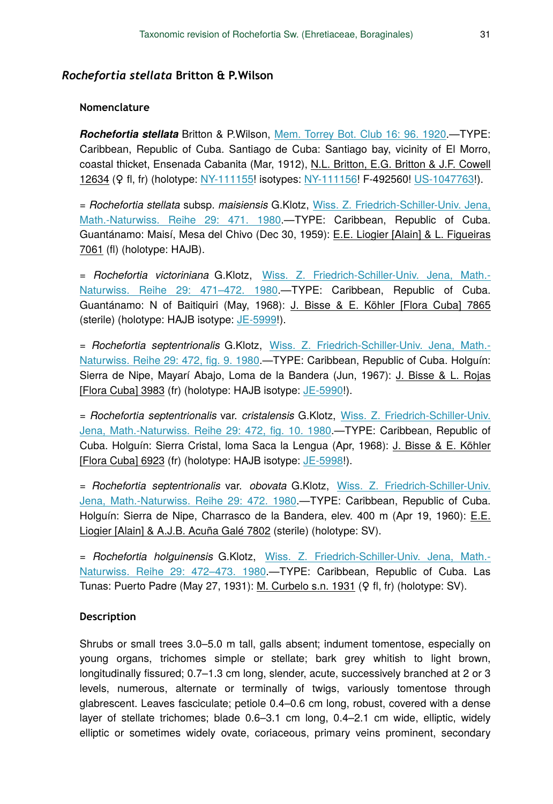# *Rochefortia stellata* **Britton & P.Wilson**

#### **Nomenclature**

*Rochefortia stellata* Britton & P.Wilson, [Mem. Torrey Bot. Club 16: 96. 1920.](http://www.biodiversitylibrary.org/item/98629#page/114/mode/1up)—TYPE: Caribbean, Republic of Cuba. Santiago de Cuba: Santiago bay, vicinity of El Morro, coastal thicket, Ensenada Cabanita (Mar, 1912), N.L. Britton, E.G. Britton & J.F. Cowell 12634 (♀ fl, fr) (holotype: [NY-111155!](http://sweetgum.nybg.org/vh/specimen.php?irn=389463) isotypes: [NY-111156](http://sweetgum.nybg.org/vh/specimen.php?irn=389464)! F-492560! [US-1047763](http://collections.mnh.si.edu/search/botany/search.php?action=10&height=4988&width=3836&irn=10130393)!).

= *Rochefortia stellata* subsp. *maisiensis* G.Klotz, [Wiss. Z. Friedrich-Schiller-Univ. Jena,](https://zenodo.org/record/22781) [Math.-Naturwiss. Reihe 29: 471. 1980.](https://zenodo.org/record/22781)—TYPE: Caribbean, Republic of Cuba. Guantánamo: Maisí, Mesa del Chivo (Dec 30, 1959): E.E. Liogier [Alain] & L. Figueiras 7061 (fl) (holotype: HAJB).

= *Rochefortia victoriniana* G.Klotz, [Wiss. Z. Friedrich-Schiller-Univ. Jena, Math.-](https://zenodo.org/record/22782) [Naturwiss. Reihe 29: 471–472. 1980](https://zenodo.org/record/22782).—TYPE: Caribbean, Republic of Cuba. Guantánamo: N of Baitiquiri (May, 1968): J. Bisse & E. Köhler [Flora Cuba] 7865 (sterile) (holotype: HAJB isotype: [JE-5999](http://plants.jstor.org/stable/10.5555/al.ap.specimen.je00005999)!).

= *Rochefortia septentrionalis* G.Klotz, [Wiss. Z. Friedrich-Schiller-Univ. Jena, Math.-](https://zenodo.org/record/22783) [Naturwiss. Reihe 29: 472,](https://zenodo.org/record/22783) fig. 9. 1980.—TYPE: Caribbean, Republic of Cuba. Holguín: Sierra de Nipe, Mayarí Abajo, Loma de la Bandera (Jun, 1967): J. Bisse & L. Rojas [Flora Cuba] 3983 (fr) (holotype: HAJB isotype: [JE-5990](http://plants.jstor.org/stable/10.5555/al.ap.specimen.je00005990)!).

= *Rochefortia septentrionalis* var. *cristalensis* G.Klotz, [Wiss. Z. Friedrich-Schiller-Univ.](https://zenodo.org/record/22786) [Jena, Math.-Naturwiss. Reihe 29: 472,](https://zenodo.org/record/22786) fig. 10. 1980.—TYPE: Caribbean, Republic of Cuba. Holguín: Sierra Cristal, loma Saca la Lengua (Apr, 1968): J. Bisse & E. Köhler [Flora Cuba] 6923 (fr) (holotype: HAJB isotype: [JE-5998](http://plants.jstor.org/stable/10.5555/al.ap.specimen.je00005998)!).

= *Rochefortia septentrionalis* var. *obovata* G.Klotz, [Wiss. Z. Friedrich-Schiller-Univ.](https://zenodo.org/record/22788) [Jena, Math.-Naturwiss. Reihe 29: 472. 1980.](https://zenodo.org/record/22788)—TYPE: Caribbean, Republic of Cuba. Holguín: Sierra de Nipe, Charrasco de la Bandera, elev. 400 m (Apr 19, 1960): E.E. Liogier [Alain] & A.J.B. Acuña Galé 7802 (sterile) (holotype: SV).

= *Rochefortia holguinensis* G.Klotz, [Wiss. Z. Friedrich-Schiller-Univ. Jena, Math.-](https://zenodo.org/record/22791) [Naturwiss. Reihe 29: 472–473. 1980](https://zenodo.org/record/22791).—TYPE: Caribbean, Republic of Cuba. Las Tunas: Puerto Padre (May 27, 1931): M. Curbelo s.n. 1931 (♀ fl, fr) (holotype: SV).

### **Description**

Shrubs or small trees 3.0–5.0 m tall, galls absent; indument tomentose, especially on young organs, trichomes simple or stellate; bark grey whitish to light brown, longitudinally fissured; 0.7–1.3 cm long, slender, acute, successively branched at 2 or 3 levels, numerous, alternate or terminally of twigs, variously tomentose through glabrescent. Leaves fasciculate; petiole 0.4–0.6 cm long, robust, covered with a dense layer of stellate trichomes; blade 0.6–3.1 cm long, 0.4–2.1 cm wide, elliptic, widely elliptic or sometimes widely ovate, coriaceous, primary veins prominent, secondary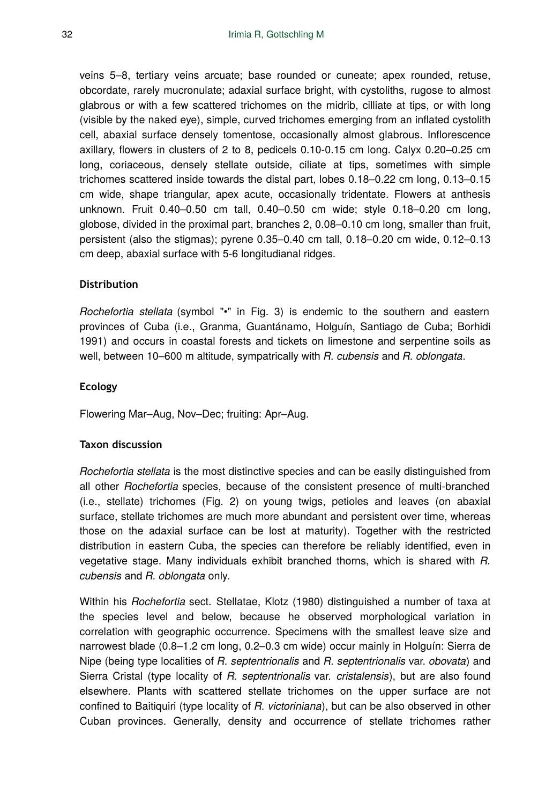veins 5–8, tertiary veins arcuate; base rounded or cuneate; apex rounded, retuse, obcordate, rarely mucronulate; adaxial surface bright, with cystoliths, rugose to almost glabrous or with a few scattered trichomes on the midrib, cilliate at tips, or with long (visible by the naked eye), simple, curved trichomes emerging from an inflated cystolith cell, abaxial surface densely tomentose, occasionally almost glabrous. Inflorescence axillary, flowers in clusters of 2 to 8, pedicels 0.10-0.15 cm long. Calyx 0.20–0.25 cm long, coriaceous, densely stellate outside, ciliate at tips, sometimes with simple trichomes scattered inside towards the distal part, lobes 0.18–0.22 cm long, 0.13–0.15 cm wide, shape triangular, apex acute, occasionally tridentate. Flowers at anthesis unknown. Fruit 0.40–0.50 cm tall, 0.40–0.50 cm wide; style 0.18–0.20 cm long, globose, divided in the proximal part, branches 2, 0.08–0.10 cm long, smaller than fruit, persistent (also the stigmas); pyrene 0.35–0.40 cm tall, 0.18–0.20 cm wide, 0.12–0.13 cm deep, abaxial surface with 5-6 longitudianal ridges.

# **Distribution**

*Rochefortia stellata* (symbol "•" in Fig. 3) is endemic to the southern and eastern provinces of Cuba (i.e., Granma, Guantánamo, Holguín, Santiago de Cuba; Borhidi 1991) and occurs in coastal forests and tickets on limestone and serpentine soils as well, between 10–600 m altitude, sympatrically with *R. cubensis* and *R. oblongata*.

### **Ecology**

Flowering Mar–Aug, Nov–Dec; fruiting: Apr–Aug.

### **Taxon discussion**

*Rochefortia stellata* is the most distinctive species and can be easily distinguished from all other *Rochefortia* species, because of the consistent presence of multi-branched (i.e., stellate) trichomes (Fig. 2) on young twigs, petioles and leaves (on abaxial surface, stellate trichomes are much more abundant and persistent over time, whereas those on the adaxial surface can be lost at maturity). Together with the restricted distribution in eastern Cuba, the species can therefore be reliably identified, even in vegetative stage. Many individuals exhibit branched thorns, which is shared with *R. cubensis* and *R. oblongata* only.

Within his *Rochefortia* sect. Stellatae, Klotz (1980) distinguished a number of taxa at the species level and below, because he observed morphological variation in correlation with geographic occurrence. Specimens with the smallest leave size and narrowest blade (0.8–1.2 cm long, 0.2–0.3 cm wide) occur mainly in Holguín: Sierra de Nipe (being type localities of *R. septentrionalis* and *R. septentrionalis* var. *obovata*) and Sierra Cristal (type locality of *R. septentrionalis* var. *cristalensis*), but are also found elsewhere. Plants with scattered stellate trichomes on the upper surface are not confined to Baitiquiri (type locality of *R. victoriniana*), but can be also observed in other Cuban provinces. Generally, density and occurrence of stellate trichomes rather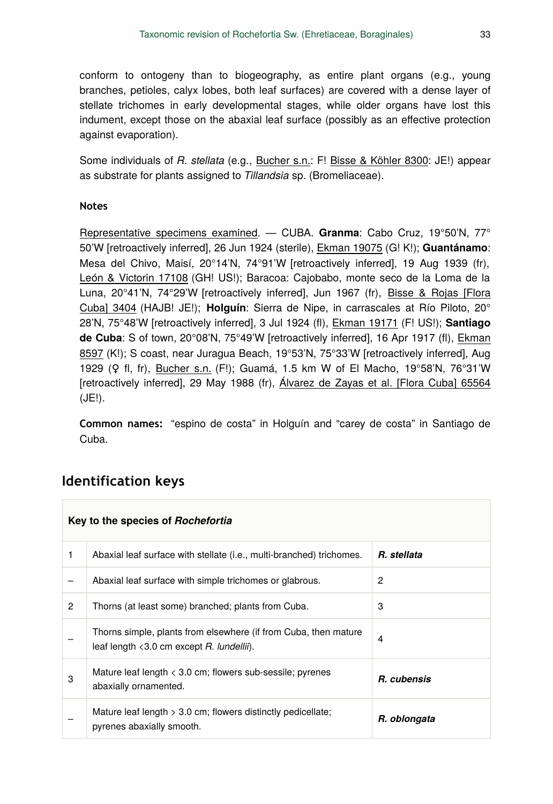conform to ontogeny than to biogeography, as entire plant organs (e.g., young branches, petioles, calyx lobes, both leaf surfaces) are covered with a dense layer of stellate trichomes in early developmental stages, while older organs have lost this indument, except those on the abaxial leaf surface (possibly as an effective protection against evaporation).

Some individuals of *R. stellata* (e.g., Bucher s.n.: F! Bisse & Köhler 8300: JE!) appear as substrate for plants assigned to *Tillandsia* sp. (Bromeliaceae).

### **Notes**

Representative specimens examined. — CUBA. **Granma**: Cabo Cruz, 19°50'N, 77° 50'W [retroactively inferred], 26 Jun 1924 (sterile), Ekman 19075 (G! K!); **Guantánamo**: Mesa del Chivo, Maisí, 20°14'N, 74°91'W [retroactively inferred], 19 Aug 1939 (fr), León & Victorin 17108 (GH! US!); Baracoa: Cajobabo, monte seco de la Loma de la Luna, 20°41'N, 74°29'W [retroactively inferred], Jun 1967 (fr), Bisse & Rojas [Flora Cuba] 3404 (HAJB! JE!); **Holguín**: Sierra de Nipe, in carrascales at Río Piloto, 20° 28'N, 75°48'W [retroactively inferred], 3 Jul 1924 (fl), Ekman 19171 (F! US!); **Santiago de Cuba**: S of town, 20°08'N, 75°49'W [retroactively inferred], 16 Apr 1917 (fl), Ekman 8597 (K!); S coast, near Juragua Beach, 19°53'N, 75°33'W [retroactively inferred], Aug 1929 (♀ fl, fr), Bucher s.n. (F!); Guamá, 1.5 km W of El Macho, 19°58'N, 76°31'W [retroactively inferred], 29 May 1988 (fr), Álvarez de Zayas et al. [Flora Cuba] 65564 (JE!).

**Common names:** "espino de costa" in Holguín and "carey de costa" in Santiago de Cuba.

| Key to the species of Rochefortia |                                                                                                                               |                    |  |  |  |
|-----------------------------------|-------------------------------------------------------------------------------------------------------------------------------|--------------------|--|--|--|
| 1                                 | Abaxial leaf surface with stellate (i.e., multi-branched) trichomes.                                                          | R. stellata        |  |  |  |
|                                   | Abaxial leaf surface with simple trichomes or glabrous.                                                                       | 2                  |  |  |  |
| $\overline{2}$                    | Thorns (at least some) branched; plants from Cuba.                                                                            | 3                  |  |  |  |
|                                   | Thorns simple, plants from elsewhere (if from Cuba, then mature<br>leaf length $\langle 3.0 \text{ cm}$ except R. lundellii). | 4                  |  |  |  |
| 3                                 | Mature leaf length $\langle 3.0 \text{ cm} \rangle$ ; flowers sub-sessile; pyrenes<br>abaxially ornamented.                   | <b>R.</b> cubensis |  |  |  |
|                                   | Mature leaf length $> 3.0$ cm; flowers distinctly pedicellate;<br>pyrenes abaxially smooth.                                   | R. oblongata       |  |  |  |

# **Identification keys**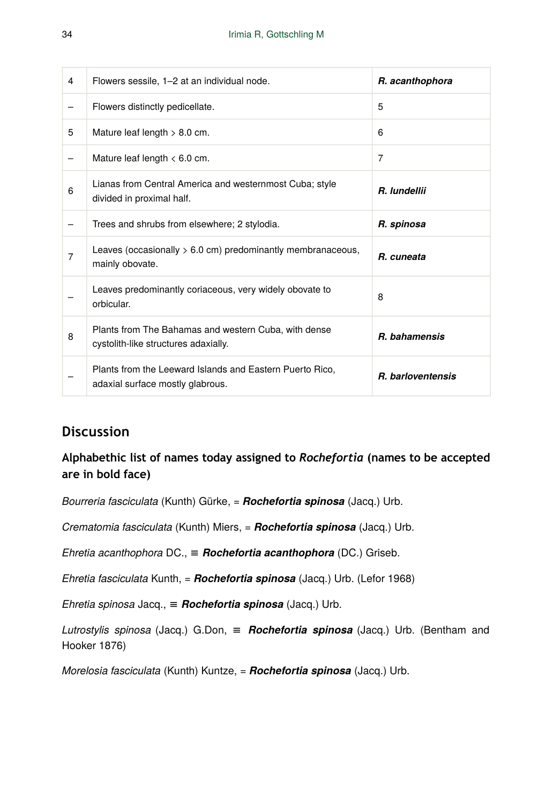| 4              | Flowers sessile, 1-2 at an individual node.                                                  | R. acanthophora          |  |  |
|----------------|----------------------------------------------------------------------------------------------|--------------------------|--|--|
|                | Flowers distinctly pedicellate.                                                              | 5                        |  |  |
| 5              | Mature leaf length $> 8.0$ cm.                                                               | 6                        |  |  |
|                | Mature leaf length $\langle$ 6.0 cm.                                                         | 7                        |  |  |
| 6              | Lianas from Central America and westernmost Cuba; style<br>divided in proximal half.         | R. lundellii             |  |  |
|                | Trees and shrubs from elsewhere; 2 stylodia.                                                 | R. spinosa               |  |  |
| $\overline{7}$ | Leaves (occasionally $> 6.0$ cm) predominantly membranaceous,<br>mainly obovate.             | R. cuneata               |  |  |
|                | Leaves predominantly coriaceous, very widely obovate to<br>orbicular.                        | 8                        |  |  |
| 8              | Plants from The Bahamas and western Cuba, with dense<br>cystolith-like structures adaxially. | R. bahamensis            |  |  |
|                | Plants from the Leeward Islands and Eastern Puerto Rico,<br>adaxial surface mostly glabrous. | <b>R.</b> barloventensis |  |  |

# **Discussion**

# **Alphabethic list of names today assigned to** *Rochefortia* **(names to be accepted are in bold face)**

*Bourreria fasciculata* (Kunth) Gürke, = *Rochefortia spinosa* (Jacq.) Urb.

*Crematomia fasciculata* (Kunth) Miers, = *Rochefortia spinosa* (Jacq.) Urb.

*Ehretia acanthophora* DC., ≡ *Rochefortia acanthophora* (DC.) Griseb.

*Ehretia fasciculata* Kunth, = *Rochefortia spinosa* (Jacq.) Urb. (Lefor 1968)

*Ehretia spinosa* Jacq., ≡ *Rochefortia spinosa* (Jacq.) Urb.

*Lutrostylis spinosa* (Jacq.) G.Don, ≡ *Rochefortia spinosa* (Jacq.) Urb. (Bentham and Hooker 1876)

*Morelosia fasciculata* (Kunth) Kuntze, = *Rochefortia spinosa* (Jacq.) Urb.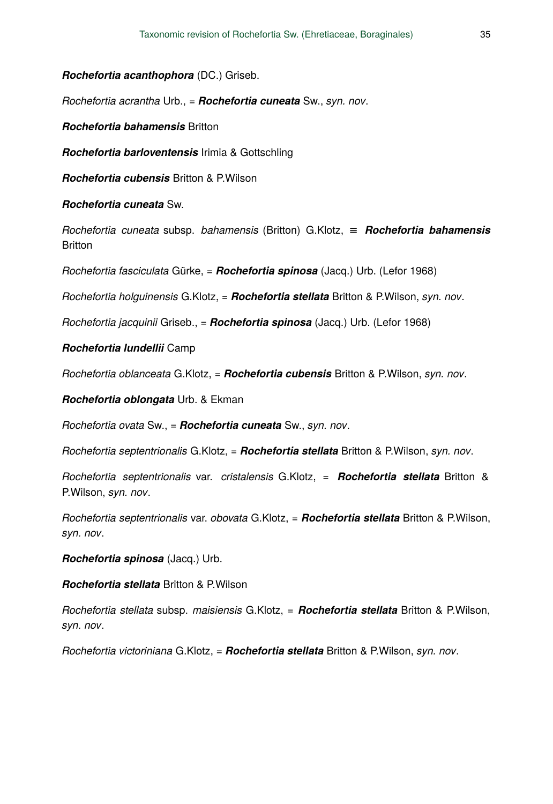#### *Rochefortia acanthophora* (DC.) Griseb.

*Rochefortia acrantha* Urb., = *Rochefortia cuneata* Sw., *syn. nov*.

*Rochefortia bahamensis* Britton

*Rochefortia barloventensis* Irimia & Gottschling

*Rochefortia cubensis* Britton & P.Wilson

#### *Rochefortia cuneata* Sw.

*Rochefortia cuneata* subsp. *bahamensis* (Britton) G.Klotz, ≡ *Rochefortia bahamensis* Britton

*Rochefortia fasciculata* Gürke, = *Rochefortia spinosa* (Jacq.) Urb. (Lefor 1968)

*Rochefortia holguinensis* G.Klotz, = *Rochefortia stellata* Britton & P.Wilson, *syn. nov*.

*Rochefortia jacquinii* Griseb., = *Rochefortia spinosa* (Jacq.) Urb. (Lefor 1968)

#### *Rochefortia lundellii* Camp

*Rochefortia oblanceata* G.Klotz, = *Rochefortia cubensis* Britton & P.Wilson, *syn. nov*.

*Rochefortia oblongata* Urb. & Ekman

*Rochefortia ovata* Sw., = *Rochefortia cuneata* Sw., *syn. nov*.

*Rochefortia septentrionalis* G.Klotz, = *Rochefortia stellata* Britton & P.Wilson, *syn. nov*.

*Rochefortia septentrionalis* var. *cristalensis* G.Klotz, = *Rochefortia stellata* Britton & P.Wilson, *syn. nov*.

*Rochefortia septentrionalis* var. *obovata* G.Klotz, = *Rochefortia stellata* Britton & P.Wilson, *syn. nov*.

#### *Rochefortia spinosa* (Jacq.) Urb.

#### *Rochefortia stellata* Britton & P.Wilson

*Rochefortia stellata* subsp. *maisiensis* G.Klotz, = *Rochefortia stellata* Britton & P.Wilson, *syn. nov*.

*Rochefortia victoriniana* G.Klotz, = *Rochefortia stellata* Britton & P.Wilson, *syn. nov*.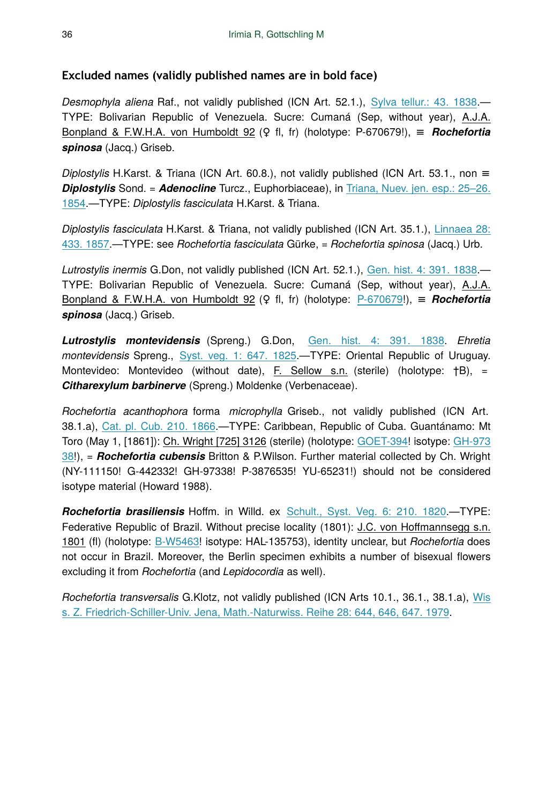# **Excluded names (validly published names are in bold face)**

*Desmophyla aliena* Raf., not validly published (ICN Art. 52.1.), [Sylva tellur.: 43. 1838.](http://www.biodiversitylibrary.org/item/20634#page/49/mode/1up)— TYPE: Bolivarian Republic of Venezuela. Sucre: Cumaná (Sep, without year), A.J.A. Bonpland & F.W.H.A. von Humboldt 92 (♀ fl, fr) (holotype: P-670679!), ≡ *Rochefortia spinosa* (Jacq.) Griseb.

*Diplostylis* H.Karst. & Triana (ICN Art. 60.8.), not validly published (ICN Art. 53.1., non ≡ *Diplostylis* Sond. = *Adenocline* Turcz., Euphorbiaceae), in [Triana, Nuev. jen. esp.: 25–26.](http://www.banrepcultural.org/sites/default/files/brblaa767712.pdf) [1854](http://www.banrepcultural.org/sites/default/files/brblaa767712.pdf).—TYPE: *Diplostylis fasciculata* H.Karst. & Triana.

*Diplostylis fasciculata* H.Karst. & Triana, not validly published (ICN Art. 35.1.), [Linnaea 28:](http://www.biodiversitylibrary.org/item/109605#page/441/mode/1up) [433. 1857](http://www.biodiversitylibrary.org/item/109605#page/441/mode/1up).—TYPE: see *Rochefortia fasciculata* Gürke, = *Rochefortia spinosa* (Jacq.) Urb.

*Lutrostylis inermis* G.Don, not validly published (ICN Art. 52.1.), [Gen. hist. 4: 391. 1838.](http://www.biodiversitylibrary.org/item/9906#page/400/mode/1up)— TYPE: Bolivarian Republic of Venezuela. Sucre: Cumaná (Sep, without year), A.J.A. Bonpland & F.W.H.A. von Humboldt 92 (♀ fl, fr) (holotype: [P-670679!](http://science.mnhn.fr/institution/mnhn/collection/p/item/p00670679)), ≡ *Rochefortia spinosa* (Jacq.) Griseb.

*Lutrostylis montevidensis* (Spreng.) G.Don, [Gen. hist. 4: 391. 1838](http://www.biodiversitylibrary.org/item/9906#page/400/mode/1up). *Ehretia montevidensis* Spreng., [Syst. veg. 1: 647. 1825.](http://www.biodiversitylibrary.org/item/30757#page/653/mode/1up)—TYPE: Oriental Republic of Uruguay. Montevideo: Montevideo (without date), F. Sellow s.n. (sterile) (holotype: †B), = *Citharexylum barbinerve* (Spreng.) Moldenke (Verbenaceae).

*Rochefortia acanthophora* forma *microphylla* Griseb., not validly published (ICN Art. 38.1.a), [Cat. pl. Cub. 210. 1866](http://www.biodiversitylibrary.org/item/5105#page/215/mode/1up).—TYPE: Caribbean, Republic of Cuba. Guantánamo: Mt Toro (May 1, [1861]): Ch. Wright [725] 3126 (sterile) (holotype: [GOET-394](http://plants.jstor.org/stable/history/10.5555/al.ap.specimen.goet000394)! isotype: [GH-973](http://kiki.huh.harvard.edu/databases/specimen_search.php?mode=details&id=130324) [38](http://kiki.huh.harvard.edu/databases/specimen_search.php?mode=details&id=130324)!), = *Rochefortia cubensis* Britton & P.Wilson. Further material collected by Ch. Wright (NY-111150! G-442332! GH-97338! P-3876535! YU-65231!) should not be considered isotype material (Howard 1988).

*Rochefortia brasiliensis* Hoffm. in Willd. ex [Schult., Syst. Veg. 6: 210. 1820.](http://www.biodiversitylibrary.org/item/15272#page/289/mode/1up)—TYPE: Federative Republic of Brazil. Without precise locality (1801): J.C. von Hoffmannsegg s.n. 1801 (fl) (holotype: [B-W5463!](http://ww2.bgbm.org/herbarium/specimen.cfm?SpecimenPK=110620&idThumb=326923&SpecimenSequenz=1&loan=0) isotype: HAL-135753), identity unclear, but *Rochefortia* does not occur in Brazil. Moreover, the Berlin specimen exhibits a number of bisexual flowers excluding it from *Rochefortia* (and *Lepidocordia* as well).

*Rochefortia transversalis* G.Klotz, not validly published (ICN Arts 10.1., 36.1., 38.1.a), [Wis](https://zenodo.org/record/51290#.VzKmndIeSkp) [s. Z. Friedrich-Schiller-Univ. Jena, Math.-Naturwiss. Reihe 28: 644, 646, 647. 1979](https://zenodo.org/record/51290#.VzKmndIeSkp).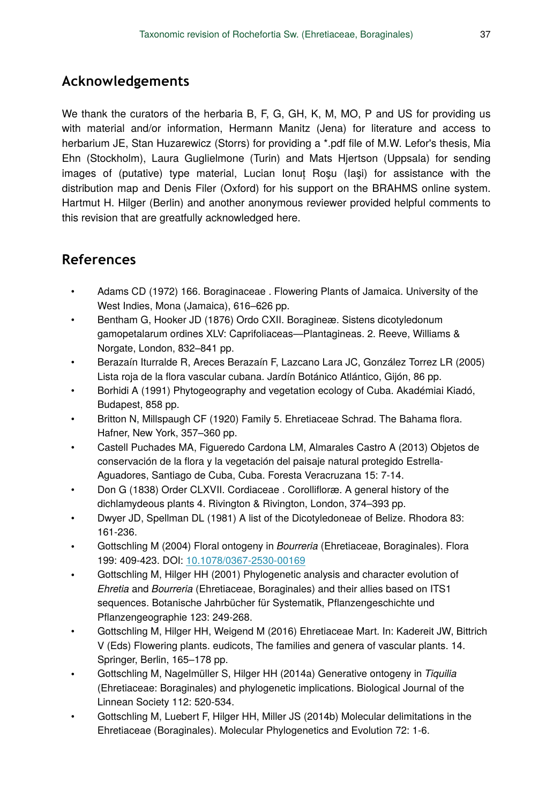# **Acknowledgements**

We thank the curators of the herbaria B, F, G, GH, K, M, MO, P and US for providing us with material and/or information, Hermann Manitz (Jena) for literature and access to herbarium JE, Stan Huzarewicz (Storrs) for providing a \*.pdf file of M.W. Lefor's thesis, Mia Ehn (Stockholm), Laura Guglielmone (Turin) and Mats Hjertson (Uppsala) for sending images of (putative) type material, Lucian Ionuț Roşu (Iaşi) for assistance with the distribution map and Denis Filer (Oxford) for his support on the BRAHMS online system. Hartmut H. Hilger (Berlin) and another anonymous reviewer provided helpful comments to this revision that are greatfully acknowledged here.

# **References**

- Adams CD (1972) 166. Boraginaceae . Flowering Plants of Jamaica. University of the West Indies, Mona (Jamaica), 616–626 pp.
- Bentham G, Hooker JD (1876) Ordo CXII. Boragineæ. Sistens dicotyledonum gamopetalarum ordines XLV: Caprifoliaceas—Plantagineas. 2. Reeve, Williams & Norgate, London, 832–841 pp.
- Berazaín Iturralde R, Areces Berazaín F, Lazcano Lara JC, González Torrez LR (2005) Lista roja de la flora vascular cubana. Jardín Botánico Atlántico, Gijón, 86 pp.
- Borhidi A (1991) Phytogeography and vegetation ecology of Cuba. Akadémiai Kiadó, Budapest, 858 pp.
- Britton N, Millspaugh CF (1920) Family 5. Ehretiaceae Schrad. The Bahama flora. Hafner, New York, 357–360 pp.
- Castell Puchades MA, Figueredo Cardona LM, Almarales Castro A (2013) Objetos de conservación de la flora y la vegetación del paisaje natural protegido Estrella-Aguadores, Santiago de Cuba, Cuba. Foresta Veracruzana 15: 7‑14.
- Don G (1838) Order CLXVII. Cordiaceae . Corollifloræ. A general history of the dichlamydeous plants 4. Rivington & Rivington, London, 374–393 pp.
- Dwyer JD, Spellman DL (1981) A list of the Dicotyledoneae of Belize. Rhodora 83: 161‑236.
- Gottschling M (2004) Floral ontogeny in *Bourreria* (Ehretiaceae, Boraginales). Flora 199: 409‑423. DOI: [10.1078/0367-2530-00169](http://dx.doi.org/10.1078/0367-2530-00169)
- Gottschling M, Hilger HH (2001) Phylogenetic analysis and character evolution of *Ehretia* and *Bourreria* (Ehretiaceae, Boraginales) and their allies based on ITS1 sequences. Botanische Jahrbücher für Systematik, Pflanzengeschichte und Pflanzengeographie 123: 249‑268.
- Gottschling M, Hilger HH, Weigend M (2016) Ehretiaceae Mart. In: Kadereit JW, Bittrich V (Eds) Flowering plants. eudicots, The families and genera of vascular plants. 14. Springer, Berlin, 165–178 pp.
- Gottschling M, Nagelmüller S, Hilger HH (2014a) Generative ontogeny in *Tiquilia* (Ehretiaceae: Boraginales) and phylogenetic implications. Biological Journal of the Linnean Society 112: 520‑534.
- Gottschling M, Luebert F, Hilger HH, Miller JS (2014b) Molecular delimitations in the Ehretiaceae (Boraginales). Molecular Phylogenetics and Evolution 72: 1‑6.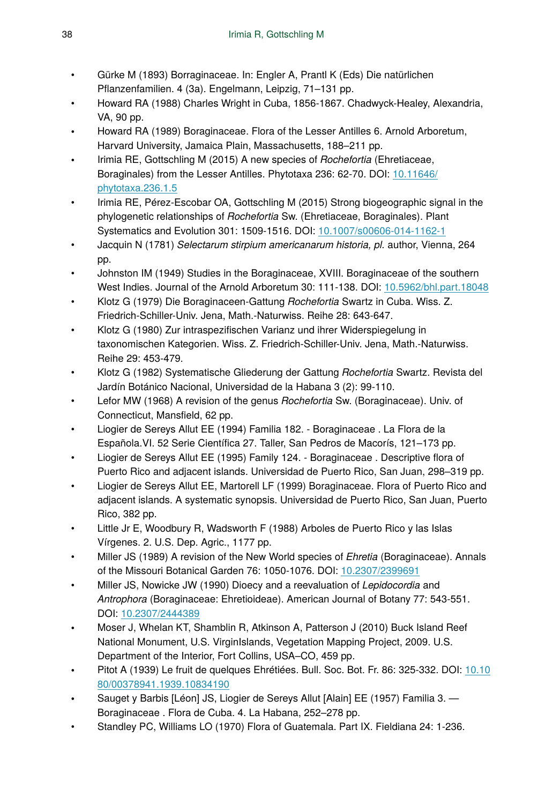- Gürke M (1893) Borraginaceae. In: Engler A, Prantl K (Eds) Die natürlichen Pflanzenfamilien. 4 (3a). Engelmann, Leipzig, 71–131 pp.
- Howard RA (1988) Charles Wright in Cuba, 1856-1867. Chadwyck-Healey, Alexandria, VA, 90 pp.
- Howard RA (1989) Boraginaceae. Flora of the Lesser Antilles 6. Arnold Arboretum, Harvard University, Jamaica Plain, Massachusetts, 188–211 pp.
- Irimia RE, Gottschling M (2015) A new species of *Rochefortia* (Ehretiaceae, Boraginales) from the Lesser Antilles. Phytotaxa 236: 62‑70. DOI: [10.11646/](http://dx.doi.org/10.11646/phytotaxa.236.1.5) [phytotaxa.236.1.5](http://dx.doi.org/10.11646/phytotaxa.236.1.5)
- Irimia RE, Pérez-Escobar OA, Gottschling M (2015) Strong biogeographic signal in the phylogenetic relationships of *Rochefortia* Sw. (Ehretiaceae, Boraginales). Plant Systematics and Evolution 301: 1509‑1516. DOI: [10.1007/s00606-014-1162-1](http://dx.doi.org/10.1007/s00606-014-1162-1)
- Jacquin N (1781) *Selectarum stirpium americanarum historia, pl.* author, Vienna, 264 pp.
- Johnston IM (1949) Studies in the Boraginaceae, XVIII. Boraginaceae of the southern West Indies. Journal of the Arnold Arboretum 30: 111-138. DOI: [10.5962/bhl.part.18048](http://dx.doi.org/10.5962/bhl.part.18048)
- Klotz G (1979) Die Boraginaceen-Gattung *Rochefortia* Swartz in Cuba. Wiss. Z. Friedrich-Schiller-Univ. Jena, Math.-Naturwiss. Reihe 28: 643‑647.
- Klotz G (1980) Zur intraspezifischen Varianz und ihrer Widerspiegelung in taxonomischen Kategorien. Wiss. Z. Friedrich-Schiller-Univ. Jena, Math.-Naturwiss. Reihe 29: 453‑479.
- Klotz G (1982) Systematische Gliederung der Gattung *Rochefortia* Swartz. Revista del Jardín Botánico Nacional, Universidad de la Habana 3 (2): 99‑110.
- Lefor MW (1968) A revision of the genus *Rochefortia* Sw. (Boraginaceae). Univ. of Connecticut, Mansfield, 62 pp.
- Liogier de Sereys Allut EE (1994) Familia 182. Boraginaceae . La Flora de la Española.VI. 52 Serie Científica 27. Taller, San Pedros de Macorís, 121–173 pp.
- Liogier de Sereys Allut EE (1995) Family 124. Boraginaceae . Descriptive flora of Puerto Rico and adjacent islands. Universidad de Puerto Rico, San Juan, 298–319 pp.
- Liogier de Sereys Allut EE, Martorell LF (1999) Boraginaceae. Flora of Puerto Rico and adjacent islands. A systematic synopsis. Universidad de Puerto Rico, San Juan, Puerto Rico, 382 pp.
- Little Jr E, Woodbury R, Wadsworth F (1988) Arboles de Puerto Rico y las Islas Vírgenes. 2. U.S. Dep. Agric., 1177 pp.
- Miller JS (1989) A revision of the New World species of *Ehretia* (Boraginaceae). Annals of the Missouri Botanical Garden 76: 1050‑1076. DOI: [10.2307/2399691](http://dx.doi.org/10.2307/2399691)
- Miller JS, Nowicke JW (1990) Dioecy and a reevaluation of *Lepidocordia* and *Antrophora* (Boraginaceae: Ehretioideae). American Journal of Botany 77: 543‑551. DOI: [10.2307/2444389](http://dx.doi.org/10.2307/2444389)
- Moser J, Whelan KT, Shamblin R, Atkinson A, Patterson J (2010) Buck Island Reef National Monument, U.S. VirginIslands, Vegetation Mapping Project, 2009. U.S. Department of the Interior, Fort Collins, USA–CO, 459 pp.
- Pitot A (1939) Le fruit de quelques Ehrétiées. Bull. Soc. Bot. Fr. 86: 325‑332. DOI: [10.10](http://dx.doi.org/10.1080/00378941.1939.10834190) [80/00378941.1939.10834190](http://dx.doi.org/10.1080/00378941.1939.10834190)
- Sauget y Barbis [Léon] JS, Liogier de Sereys Allut [Alain] EE (1957) Familia 3. Boraginaceae . Flora de Cuba. 4. La Habana, 252–278 pp.
- Standley PC, Williams LO (1970) Flora of Guatemala. Part IX. Fieldiana 24: 1‑236.